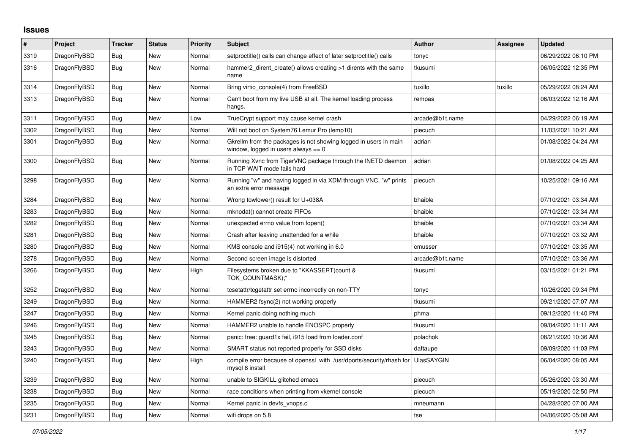## **Issues**

| #    | Project      | Tracker    | <b>Status</b> | <b>Priority</b> | <b>Subject</b>                                                                                            | <b>Author</b>     | Assignee | <b>Updated</b>      |
|------|--------------|------------|---------------|-----------------|-----------------------------------------------------------------------------------------------------------|-------------------|----------|---------------------|
| 3319 | DragonFlyBSD | Bug        | New           | Normal          | setproctitle() calls can change effect of later setproctitle() calls                                      | tonyc             |          | 06/29/2022 06:10 PM |
| 3316 | DragonFlyBSD | Bug        | New           | Normal          | hammer2 dirent create() allows creating >1 dirents with the same<br>name                                  | tkusumi           |          | 06/05/2022 12:35 PM |
| 3314 | DragonFlyBSD | Bug        | <b>New</b>    | Normal          | Bring virtio_console(4) from FreeBSD                                                                      | tuxillo           | tuxillo  | 05/29/2022 08:24 AM |
| 3313 | DragonFlyBSD | <b>Bug</b> | New           | Normal          | Can't boot from my live USB at all. The kernel loading process<br>hangs.                                  | rempas            |          | 06/03/2022 12:16 AM |
| 3311 | DragonFlyBSD | <b>Bug</b> | New           | Low             | TrueCrypt support may cause kernel crash                                                                  | arcade@b1t.name   |          | 04/29/2022 06:19 AM |
| 3302 | DragonFlyBSD | Bug        | <b>New</b>    | Normal          | Will not boot on System76 Lemur Pro (lemp10)                                                              | piecuch           |          | 11/03/2021 10:21 AM |
| 3301 | DragonFlyBSD | <b>Bug</b> | New           | Normal          | Gkrellm from the packages is not showing logged in users in main<br>window, logged in users always $== 0$ | adrian            |          | 01/08/2022 04:24 AM |
| 3300 | DragonFlyBSD | <b>Bug</b> | New           | Normal          | Running Xvnc from TigerVNC package through the INETD daemon<br>in TCP WAIT mode fails hard                | adrian            |          | 01/08/2022 04:25 AM |
| 3298 | DragonFlyBSD | <b>Bug</b> | New           | Normal          | Running "w" and having logged in via XDM through VNC, "w" prints<br>an extra error message                | piecuch           |          | 10/25/2021 09:16 AM |
| 3284 | DragonFlyBSD | Bug        | New           | Normal          | Wrong towlower() result for U+038A                                                                        | bhaible           |          | 07/10/2021 03:34 AM |
| 3283 | DragonFlyBSD | Bug        | <b>New</b>    | Normal          | mknodat() cannot create FIFOs                                                                             | bhaible           |          | 07/10/2021 03:34 AM |
| 3282 | DragonFlyBSD | Bug        | New           | Normal          | unexpected errno value from fopen()                                                                       | bhaible           |          | 07/10/2021 03:34 AM |
| 3281 | DragonFlyBSD | Bug        | New           | Normal          | Crash after leaving unattended for a while                                                                | bhaible           |          | 07/10/2021 03:32 AM |
| 3280 | DragonFlyBSD | <b>Bug</b> | New           | Normal          | KMS console and i915(4) not working in 6.0                                                                | cmusser           |          | 07/10/2021 03:35 AM |
| 3278 | DragonFlyBSD | Bug        | New           | Normal          | Second screen image is distorted                                                                          | arcade@b1t.name   |          | 07/10/2021 03:36 AM |
| 3266 | DragonFlyBSD | <b>Bug</b> | New           | High            | Filesystems broken due to "KKASSERT(count &<br>TOK COUNTMASK);"                                           | tkusumi           |          | 03/15/2021 01:21 PM |
| 3252 | DragonFlyBSD | <b>Bug</b> | New           | Normal          | tcsetattr/tcgetattr set errno incorrectly on non-TTY                                                      | tonyc             |          | 10/26/2020 09:34 PM |
| 3249 | DragonFlyBSD | Bug        | New           | Normal          | HAMMER2 fsync(2) not working properly                                                                     | tkusumi           |          | 09/21/2020 07:07 AM |
| 3247 | DragonFlyBSD | Bug        | New           | Normal          | Kernel panic doing nothing much                                                                           | phma              |          | 09/12/2020 11:40 PM |
| 3246 | DragonFlyBSD | Bug        | New           | Normal          | HAMMER2 unable to handle ENOSPC properly                                                                  | tkusumi           |          | 09/04/2020 11:11 AM |
| 3245 | DragonFlyBSD | <b>Bug</b> | New           | Normal          | panic: free: guard1x fail, i915 load from loader.conf                                                     | polachok          |          | 08/21/2020 10:36 AM |
| 3243 | DragonFlyBSD | Bug        | New           | Normal          | SMART status not reported properly for SSD disks                                                          | daftaupe          |          | 09/09/2020 11:03 PM |
| 3240 | DragonFlyBSD | Bug        | New           | High            | compile error because of openssl with /usr/dports/security/rhash for<br>mysql 8 install                   | <b>UlasSAYGIN</b> |          | 06/04/2020 08:05 AM |
| 3239 | DragonFlyBSD | Bug        | New           | Normal          | unable to SIGKILL glitched emacs                                                                          | piecuch           |          | 05/26/2020 03:30 AM |
| 3238 | DragonFlyBSD | <b>Bug</b> | <b>New</b>    | Normal          | race conditions when printing from vkernel console                                                        | piecuch           |          | 05/19/2020 02:50 PM |
| 3235 | DragonFlyBSD | Bug        | New           | Normal          | Kernel panic in devfs vnops.c                                                                             | mneumann          |          | 04/28/2020 07:00 AM |
| 3231 | DragonFlyBSD | Bug        | New           | Normal          | wifi drops on 5.8                                                                                         | tse               |          | 04/06/2020 05:08 AM |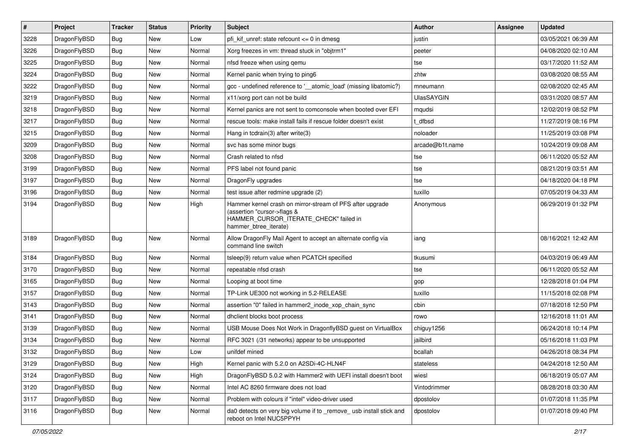| $\sharp$ | Project      | <b>Tracker</b> | <b>Status</b> | <b>Priority</b> | <b>Subject</b>                                                                                                                                              | <b>Author</b>     | Assignee | <b>Updated</b>      |
|----------|--------------|----------------|---------------|-----------------|-------------------------------------------------------------------------------------------------------------------------------------------------------------|-------------------|----------|---------------------|
| 3228     | DragonFlyBSD | Bug            | New           | Low             | pfi kif unref: state refcount $\leq$ 0 in dmesg                                                                                                             | justin            |          | 03/05/2021 06:39 AM |
| 3226     | DragonFlyBSD | Bug            | <b>New</b>    | Normal          | Xorg freezes in vm: thread stuck in "objtrm1"                                                                                                               | peeter            |          | 04/08/2020 02:10 AM |
| 3225     | DragonFlyBSD | Bug            | <b>New</b>    | Normal          | nfsd freeze when using gemu                                                                                                                                 | tse               |          | 03/17/2020 11:52 AM |
| 3224     | DragonFlyBSD | Bug            | New           | Normal          | Kernel panic when trying to ping6                                                                                                                           | zhtw              |          | 03/08/2020 08:55 AM |
| 3222     | DragonFlyBSD | Bug            | <b>New</b>    | Normal          | gcc - undefined reference to '__atomic_load' (missing libatomic?)                                                                                           | mneumann          |          | 02/08/2020 02:45 AM |
| 3219     | DragonFlyBSD | Bug            | New           | Normal          | x11/xorg port can not be build                                                                                                                              | <b>UlasSAYGIN</b> |          | 03/31/2020 08:57 AM |
| 3218     | DragonFlyBSD | Bug            | New           | Normal          | Kernel panics are not sent to comconsole when booted over EFI                                                                                               | mqudsi            |          | 12/02/2019 08:52 PM |
| 3217     | DragonFlyBSD | Bug            | <b>New</b>    | Normal          | rescue tools: make install fails if rescue folder doesn't exist                                                                                             | t dfbsd           |          | 11/27/2019 08:16 PM |
| 3215     | DragonFlyBSD | Bug            | New           | Normal          | Hang in tcdrain(3) after write(3)                                                                                                                           | noloader          |          | 11/25/2019 03:08 PM |
| 3209     | DragonFlyBSD | Bug            | <b>New</b>    | Normal          | svc has some minor bugs                                                                                                                                     | arcade@b1t.name   |          | 10/24/2019 09:08 AM |
| 3208     | DragonFlyBSD | Bug            | New           | Normal          | Crash related to nfsd                                                                                                                                       | tse               |          | 06/11/2020 05:52 AM |
| 3199     | DragonFlyBSD | Bug            | New           | Normal          | PFS label not found panic                                                                                                                                   | tse               |          | 08/21/2019 03:51 AM |
| 3197     | DragonFlyBSD | Bug            | New           | Normal          | DragonFly upgrades                                                                                                                                          | tse               |          | 04/18/2020 04:18 PM |
| 3196     | DragonFlyBSD | Bug            | <b>New</b>    | Normal          | test issue after redmine upgrade (2)                                                                                                                        | tuxillo           |          | 07/05/2019 04:33 AM |
| 3194     | DragonFlyBSD | Bug            | New           | High            | Hammer kernel crash on mirror-stream of PFS after upgrade<br>(assertion "cursor->flags &<br>HAMMER_CURSOR_ITERATE_CHECK" failed in<br>hammer_btree_iterate) | Anonymous         |          | 06/29/2019 01:32 PM |
| 3189     | DragonFlyBSD | Bug            | <b>New</b>    | Normal          | Allow DragonFly Mail Agent to accept an alternate config via<br>command line switch                                                                         | iang              |          | 08/16/2021 12:42 AM |
| 3184     | DragonFlyBSD | Bug            | <b>New</b>    | Normal          | tsleep(9) return value when PCATCH specified                                                                                                                | tkusumi           |          | 04/03/2019 06:49 AM |
| 3170     | DragonFlyBSD | <b>Bug</b>     | New           | Normal          | repeatable nfsd crash                                                                                                                                       | tse               |          | 06/11/2020 05:52 AM |
| 3165     | DragonFlyBSD | <b>Bug</b>     | New           | Normal          | Looping at boot time                                                                                                                                        | gop               |          | 12/28/2018 01:04 PM |
| 3157     | DragonFlyBSD | <b>Bug</b>     | New           | Normal          | TP-Link UE300 not working in 5.2-RELEASE                                                                                                                    | tuxillo           |          | 11/15/2018 02:08 PM |
| 3143     | DragonFlyBSD | <b>Bug</b>     | <b>New</b>    | Normal          | assertion "0" failed in hammer2_inode_xop_chain_sync                                                                                                        | cbin              |          | 07/18/2018 12:50 PM |
| 3141     | DragonFlyBSD | Bug            | New           | Normal          | dhclient blocks boot process                                                                                                                                | rowo              |          | 12/16/2018 11:01 AM |
| 3139     | DragonFlyBSD | <b>Bug</b>     | New           | Normal          | USB Mouse Does Not Work in DragonflyBSD quest on VirtualBox                                                                                                 | chiguy1256        |          | 06/24/2018 10:14 PM |
| 3134     | DragonFlyBSD | <b>Bug</b>     | <b>New</b>    | Normal          | RFC 3021 (/31 networks) appear to be unsupported                                                                                                            | jailbird          |          | 05/16/2018 11:03 PM |
| 3132     | DragonFlyBSD | Bug            | New           | Low             | unifdef mined                                                                                                                                               | bcallah           |          | 04/26/2018 08:34 PM |
| 3129     | DragonFlyBSD | <b>Bug</b>     | New           | High            | Kernel panic with 5.2.0 on A2SDi-4C-HLN4F                                                                                                                   | stateless         |          | 04/24/2018 12:50 AM |
| 3124     | DragonFlyBSD | <b>Bug</b>     | <b>New</b>    | High            | DragonFlyBSD 5.0.2 with Hammer2 with UEFI install doesn't boot                                                                                              | wiesl             |          | 06/18/2019 05:07 AM |
| 3120     | DragonFlyBSD | <b>Bug</b>     | New           | Normal          | Intel AC 8260 firmware does not load                                                                                                                        | Vintodrimmer      |          | 08/28/2018 03:30 AM |
| 3117     | DragonFlyBSD | <b>Bug</b>     | <b>New</b>    | Normal          | Problem with colours if "intel" video-driver used                                                                                                           | dpostolov         |          | 01/07/2018 11:35 PM |
| 3116     | DragonFlyBSD | <b>Bug</b>     | New           | Normal          | da0 detects on very big volume if to _remove_ usb install stick and<br>reboot on Intel NUC5PPYH                                                             | dpostolov         |          | 01/07/2018 09:40 PM |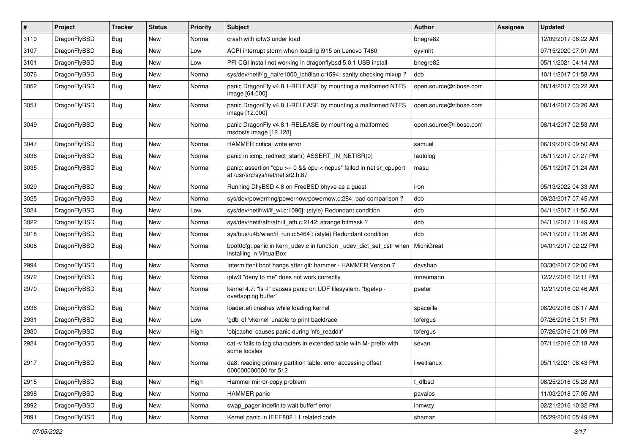| $\vert$ # | Project      | <b>Tracker</b> | <b>Status</b> | <b>Priority</b> | <b>Subject</b>                                                                                          | <b>Author</b>          | Assignee | <b>Updated</b>      |
|-----------|--------------|----------------|---------------|-----------------|---------------------------------------------------------------------------------------------------------|------------------------|----------|---------------------|
| 3110      | DragonFlyBSD | Bug            | <b>New</b>    | Normal          | crash with ipfw3 under load                                                                             | bnegre82               |          | 12/09/2017 06:22 AM |
| 3107      | DragonFlyBSD | <b>Bug</b>     | <b>New</b>    | Low             | ACPI interrupt storm when loading i915 on Lenovo T460                                                   | oyvinht                |          | 07/15/2020 07:01 AM |
| 3101      | DragonFlyBSD | Bug            | <b>New</b>    | Low             | PFI CGI install not working in dragonflybsd 5.0.1 USB install                                           | bnegre82               |          | 05/11/2021 04:14 AM |
| 3076      | DragonFlyBSD | Bug            | <b>New</b>    | Normal          | sys/dev/netif/ig_hal/e1000_ich8lan.c:1594: sanity checking mixup?                                       | dcb                    |          | 10/11/2017 01:58 AM |
| 3052      | DragonFlyBSD | Bug            | <b>New</b>    | Normal          | panic DragonFly v4.8.1-RELEASE by mounting a malformed NTFS<br>image [64.000]                           | open.source@ribose.com |          | 08/14/2017 03:22 AM |
| 3051      | DragonFlyBSD | Bug            | <b>New</b>    | Normal          | panic DragonFly v4.8.1-RELEASE by mounting a malformed NTFS<br>image [12.000]                           | open.source@ribose.com |          | 08/14/2017 03:20 AM |
| 3049      | DragonFlyBSD | Bug            | <b>New</b>    | Normal          | panic DragonFly v4.8.1-RELEASE by mounting a malformed<br>msdosfs image [12.128]                        | open.source@ribose.com |          | 08/14/2017 02:53 AM |
| 3047      | DragonFlyBSD | <b>Bug</b>     | <b>New</b>    | Normal          | HAMMER critical write error                                                                             | samuel                 |          | 06/19/2019 09:50 AM |
| 3036      | DragonFlyBSD | Bug            | <b>New</b>    | Normal          | panic in icmp_redirect_start() ASSERT_IN_NETISR(0)                                                      | tautolog               |          | 05/11/2017 07:27 PM |
| 3035      | DragonFlyBSD | Bug            | <b>New</b>    | Normal          | panic: assertion "cpu >= 0 && cpu < ncpus" failed in netisr_cpuport<br>at /usr/src/sys/net/netisr2.h:87 | masu                   |          | 05/11/2017 01:24 AM |
| 3029      | DragonFlyBSD | Bug            | <b>New</b>    | Normal          | Running DflyBSD 4.8 on FreeBSD bhyve as a guest                                                         | iron                   |          | 05/13/2022 04:33 AM |
| 3025      | DragonFlyBSD | Bug            | <b>New</b>    | Normal          | sys/dev/powermng/powernow/powernow.c:284: bad comparison ?                                              | dcb                    |          | 09/23/2017 07:45 AM |
| 3024      | DragonFlyBSD | <b>Bug</b>     | <b>New</b>    | Low             | sys/dev/netif/wi/if_wi.c:1090]: (style) Redundant condition                                             | dcb                    |          | 04/11/2017 11:56 AM |
| 3022      | DragonFlyBSD | <b>Bug</b>     | <b>New</b>    | Normal          | sys/dev/netif/ath/ath/if ath.c:2142: strange bitmask?                                                   | dcb                    |          | 04/11/2017 11:49 AM |
| 3018      | DragonFlyBSD | <b>Bug</b>     | <b>New</b>    | Normal          | sys/bus/u4b/wlan/if_run.c:5464]: (style) Redundant condition                                            | dcb                    |          | 04/11/2017 11:26 AM |
| 3006      | DragonFlyBSD | Bug            | New           | Normal          | boot0cfg: panic in kern_udev.c in function _udev_dict_set_cstr when<br>installing in VirtualBox         | MichiGreat             |          | 04/01/2017 02:22 PM |
| 2994      | DragonFlyBSD | <b>Bug</b>     | <b>New</b>    | Normal          | Intermittent boot hangs after git: hammer - HAMMER Version 7                                            | davshao                |          | 03/30/2017 02:06 PM |
| 2972      | DragonFlyBSD | Bug            | <b>New</b>    | Normal          | ipfw3 "deny to me" does not work correctly                                                              | mneumann               |          | 12/27/2016 12:11 PM |
| 2970      | DragonFlyBSD | Bug            | New           | Normal          | kernel 4.7: "Is -I" causes panic on UDF filesystem: "bgetvp -<br>overlapping buffer"                    | peeter                 |          | 12/21/2016 02:46 AM |
| 2936      | DragonFlyBSD | Bug            | <b>New</b>    | Normal          | loader.efi crashes while loading kernel                                                                 | spaceille              |          | 08/20/2016 06:17 AM |
| 2931      | DragonFlyBSD | <b>Bug</b>     | <b>New</b>    | Low             | 'gdb' of 'vkernel' unable to print backtrace                                                            | tofergus               |          | 07/26/2016 01:51 PM |
| 2930      | DragonFlyBSD | Bug            | <b>New</b>    | High            | 'objcache' causes panic during 'nfs_readdir'                                                            | tofergus               |          | 07/26/2016 01:09 PM |
| 2924      | DragonFlyBSD | Bug            | <b>New</b>    | Normal          | cat -v fails to tag characters in extended table with M- prefix with<br>some locales                    | sevan                  |          | 07/11/2016 07:18 AM |
| 2917      | DragonFlyBSD | Bug            | New           | Normal          | da8: reading primary partition table: error accessing offset<br>000000000000 for 512                    | liweitianux            |          | 05/11/2021 08:43 PM |
| 2915      | DragonFlyBSD | <b>Bug</b>     | New           | High            | Hammer mirror-copy problem                                                                              | t_dfbsd                |          | 08/25/2016 05:28 AM |
| 2898      | DragonFlyBSD | Bug            | <b>New</b>    | Normal          | HAMMER panic                                                                                            | pavalos                |          | 11/03/2018 07:05 AM |
| 2892      | DragonFlyBSD | <b>Bug</b>     | New           | Normal          | swap_pager:indefinite wait bufferf error                                                                | <b>Ihmwzy</b>          |          | 02/21/2016 10:32 PM |
| 2891      | DragonFlyBSD | <b>Bug</b>     | New           | Normal          | Kernel panic in IEEE802.11 related code                                                                 | shamaz                 |          | 05/29/2016 05:49 PM |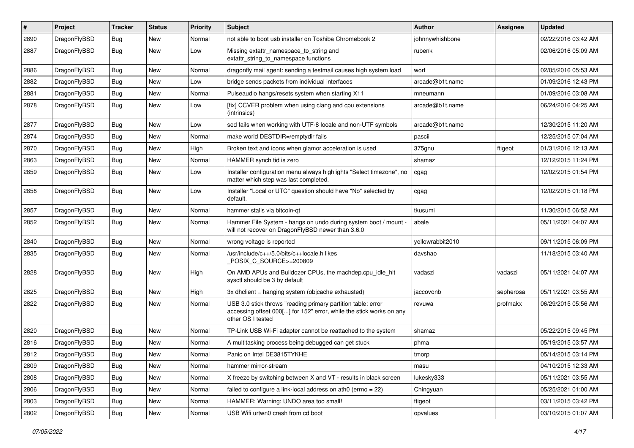| $\sharp$ | Project      | <b>Tracker</b> | <b>Status</b> | <b>Priority</b> | Subject                                                                                                                                                  | <b>Author</b>    | Assignee  | <b>Updated</b>      |
|----------|--------------|----------------|---------------|-----------------|----------------------------------------------------------------------------------------------------------------------------------------------------------|------------------|-----------|---------------------|
| 2890     | DragonFlyBSD | Bug            | New           | Normal          | not able to boot usb installer on Toshiba Chromebook 2                                                                                                   | johnnywhishbone  |           | 02/22/2016 03:42 AM |
| 2887     | DragonFlyBSD | Bug            | New           | Low             | Missing extattr_namespace_to_string and<br>extattr string to namespace functions                                                                         | rubenk           |           | 02/06/2016 05:09 AM |
| 2886     | DragonFlyBSD | Bug            | New           | Normal          | dragonfly mail agent: sending a testmail causes high system load                                                                                         | worf             |           | 02/05/2016 05:53 AM |
| 2882     | DragonFlyBSD | Bug            | <b>New</b>    | Low             | bridge sends packets from individual interfaces                                                                                                          | arcade@b1t.name  |           | 01/09/2016 12:43 PM |
| 2881     | DragonFlyBSD | <b>Bug</b>     | New           | Normal          | Pulseaudio hangs/resets system when starting X11                                                                                                         | mneumann         |           | 01/09/2016 03:08 AM |
| 2878     | DragonFlyBSD | Bug            | New           | Low             | [fix] CCVER problem when using clang and cpu extensions<br>(intrinsics)                                                                                  | arcade@b1t.name  |           | 06/24/2016 04:25 AM |
| 2877     | DragonFlyBSD | Bug            | <b>New</b>    | Low             | sed fails when working with UTF-8 locale and non-UTF symbols                                                                                             | arcade@b1t.name  |           | 12/30/2015 11:20 AM |
| 2874     | DragonFlyBSD | Bug            | New           | Normal          | make world DESTDIR=/emptydir fails                                                                                                                       | pascii           |           | 12/25/2015 07:04 AM |
| 2870     | DragonFlyBSD | Bug            | <b>New</b>    | High            | Broken text and icons when glamor acceleration is used                                                                                                   | 375gnu           | ftigeot   | 01/31/2016 12:13 AM |
| 2863     | DragonFlyBSD | <b>Bug</b>     | <b>New</b>    | Normal          | HAMMER synch tid is zero                                                                                                                                 | shamaz           |           | 12/12/2015 11:24 PM |
| 2859     | DragonFlyBSD | Bug            | New           | Low             | Installer configuration menu always highlights "Select timezone", no<br>matter which step was last completed.                                            | cgag             |           | 12/02/2015 01:54 PM |
| 2858     | DragonFlyBSD | Bug            | New           | Low             | Installer "Local or UTC" question should have "No" selected by<br>default.                                                                               | cgag             |           | 12/02/2015 01:18 PM |
| 2857     | DragonFlyBSD | Bug            | New           | Normal          | hammer stalls via bitcoin-qt                                                                                                                             | tkusumi          |           | 11/30/2015 06:52 AM |
| 2852     | DragonFlyBSD | Bug            | New           | Normal          | Hammer File System - hangs on undo during system boot / mount -<br>will not recover on DragonFlyBSD newer than 3.6.0                                     | abale            |           | 05/11/2021 04:07 AM |
| 2840     | DragonFlyBSD | <b>Bug</b>     | <b>New</b>    | Normal          | wrong voltage is reported                                                                                                                                | yellowrabbit2010 |           | 09/11/2015 06:09 PM |
| 2835     | DragonFlyBSD | Bug            | New           | Normal          | /usr/include/c++/5.0/bits/c++locale.h likes<br>POSIX_C_SOURCE>=200809                                                                                    | davshao          |           | 11/18/2015 03:40 AM |
| 2828     | DragonFlyBSD | Bug            | <b>New</b>    | High            | On AMD APUs and Bulldozer CPUs, the machdep.cpu_idle_hlt<br>sysctl should be 3 by default                                                                | vadaszi          | vadaszi   | 05/11/2021 04:07 AM |
| 2825     | DragonFlyBSD | Bug            | New           | High            | 3x dhclient = hanging system (objcache exhausted)                                                                                                        | jaccovonb        | sepherosa | 05/11/2021 03:55 AM |
| 2822     | DragonFlyBSD | Bug            | New           | Normal          | USB 3.0 stick throws "reading primary partition table: error<br>accessing offset 000[] for 152" error, while the stick works on any<br>other OS I tested | revuwa           | profmakx  | 06/29/2015 05:56 AM |
| 2820     | DragonFlyBSD | Bug            | <b>New</b>    | Normal          | TP-Link USB Wi-Fi adapter cannot be reattached to the system                                                                                             | shamaz           |           | 05/22/2015 09:45 PM |
| 2816     | DragonFlyBSD | Bug            | <b>New</b>    | Normal          | A multitasking process being debugged can get stuck                                                                                                      | phma             |           | 05/19/2015 03:57 AM |
| 2812     | DragonFlyBSD | Bug            | <b>New</b>    | Normal          | Panic on Intel DE3815TYKHE                                                                                                                               | tmorp            |           | 05/14/2015 03:14 PM |
| 2809     | DragonFlyBSD | Bug            | New           | Normal          | hammer mirror-stream                                                                                                                                     | masu             |           | 04/10/2015 12:33 AM |
| 2808     | DragonFlyBSD | Bug            | New           | Normal          | X freeze by switching between X and VT - results in black screen                                                                                         | lukesky333       |           | 05/11/2021 03:55 AM |
| 2806     | DragonFlyBSD | <b>Bug</b>     | <b>New</b>    | Normal          | failed to configure a link-local address on ath0 (errno = 22)                                                                                            | Chingyuan        |           | 05/25/2021 01:00 AM |
| 2803     | DragonFlyBSD | <b>Bug</b>     | New           | Normal          | HAMMER: Warning: UNDO area too small!                                                                                                                    | ftigeot          |           | 03/11/2015 03:42 PM |
| 2802     | DragonFlyBSD | <b>Bug</b>     | New           | Normal          | USB Wifi urtwn0 crash from cd boot                                                                                                                       | opvalues         |           | 03/10/2015 01:07 AM |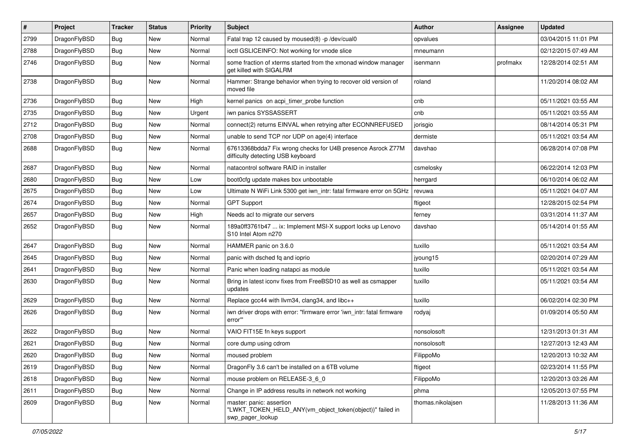| #    | Project      | <b>Tracker</b> | <b>Status</b> | <b>Priority</b> | Subject                                                                                                  | <b>Author</b>     | Assignee | <b>Updated</b>      |
|------|--------------|----------------|---------------|-----------------|----------------------------------------------------------------------------------------------------------|-------------------|----------|---------------------|
| 2799 | DragonFlyBSD | Bug            | <b>New</b>    | Normal          | Fatal trap 12 caused by moused(8) -p /dev/cual0                                                          | opvalues          |          | 03/04/2015 11:01 PM |
| 2788 | DragonFlyBSD | <b>Bug</b>     | New           | Normal          | ioctl GSLICEINFO: Not working for vnode slice                                                            | mneumann          |          | 02/12/2015 07:49 AM |
| 2746 | DragonFlyBSD | Bug            | New           | Normal          | some fraction of xterms started from the xmonad window manager<br>get killed with SIGALRM                | isenmann          | profmakx | 12/28/2014 02:51 AM |
| 2738 | DragonFlyBSD | <b>Bug</b>     | New           | Normal          | Hammer: Strange behavior when trying to recover old version of<br>moved file                             | roland            |          | 11/20/2014 08:02 AM |
| 2736 | DragonFlyBSD | Bug            | <b>New</b>    | High            | kernel panics on acpi_timer_probe function                                                               | cnb               |          | 05/11/2021 03:55 AM |
| 2735 | DragonFlyBSD | Bug            | New           | Urgent          | iwn panics SYSSASSERT                                                                                    | cnb               |          | 05/11/2021 03:55 AM |
| 2712 | DragonFlyBSD | Bug            | New           | Normal          | connect(2) returns EINVAL when retrying after ECONNREFUSED                                               | jorisgio          |          | 08/14/2014 05:31 PM |
| 2708 | DragonFlyBSD | Bug            | New           | Normal          | unable to send TCP nor UDP on age(4) interface                                                           | dermiste          |          | 05/11/2021 03:54 AM |
| 2688 | DragonFlyBSD | Bug            | New           | Normal          | 67613368bdda7 Fix wrong checks for U4B presence Asrock Z77M<br>difficulty detecting USB keyboard         | davshao           |          | 06/28/2014 07:08 PM |
| 2687 | DragonFlyBSD | Bug            | <b>New</b>    | Normal          | natacontrol software RAID in installer                                                                   | csmelosky         |          | 06/22/2014 12:03 PM |
| 2680 | DragonFlyBSD | Bug            | <b>New</b>    | Low             | boot0cfg update makes box unbootable                                                                     | herrgard          |          | 06/10/2014 06:02 AM |
| 2675 | DragonFlyBSD | Bug            | New           | Low             | Ultimate N WiFi Link 5300 get iwn_intr: fatal firmware error on 5GHz                                     | revuwa            |          | 05/11/2021 04:07 AM |
| 2674 | DragonFlyBSD | Bug            | <b>New</b>    | Normal          | <b>GPT Support</b>                                                                                       | ftigeot           |          | 12/28/2015 02:54 PM |
| 2657 | DragonFlyBSD | Bug            | New           | High            | Needs acl to migrate our servers                                                                         | ferney            |          | 03/31/2014 11:37 AM |
| 2652 | DragonFlyBSD | <b>Bug</b>     | New           | Normal          | 189a0ff3761b47  ix: Implement MSI-X support locks up Lenovo<br>S10 Intel Atom n270                       | davshao           |          | 05/14/2014 01:55 AM |
| 2647 | DragonFlyBSD | Bug            | <b>New</b>    | Normal          | HAMMER panic on 3.6.0                                                                                    | tuxillo           |          | 05/11/2021 03:54 AM |
| 2645 | DragonFlyBSD | Bug            | <b>New</b>    | Normal          | panic with dsched fq and ioprio                                                                          | jyoung15          |          | 02/20/2014 07:29 AM |
| 2641 | DragonFlyBSD | <b>Bug</b>     | <b>New</b>    | Normal          | Panic when loading natapci as module                                                                     | tuxillo           |          | 05/11/2021 03:54 AM |
| 2630 | DragonFlyBSD | <b>Bug</b>     | New           | Normal          | Bring in latest iconv fixes from FreeBSD10 as well as csmapper<br>updates                                | tuxillo           |          | 05/11/2021 03:54 AM |
| 2629 | DragonFlyBSD | <b>Bug</b>     | New           | Normal          | Replace gcc44 with llvm34, clang34, and libc++                                                           | tuxillo           |          | 06/02/2014 02:30 PM |
| 2626 | DragonFlyBSD | <b>Bug</b>     | New           | Normal          | iwn driver drops with error: "firmware error 'iwn_intr: fatal firmware<br>error"                         | rodyaj            |          | 01/09/2014 05:50 AM |
| 2622 | DragonFlyBSD | <b>Bug</b>     | <b>New</b>    | Normal          | VAIO FIT15E fn keys support                                                                              | nonsolosoft       |          | 12/31/2013 01:31 AM |
| 2621 | DragonFlyBSD | <b>Bug</b>     | New           | Normal          | core dump using cdrom                                                                                    | nonsolosoft       |          | 12/27/2013 12:43 AM |
| 2620 | DragonFlyBSD | <b>Bug</b>     | <b>New</b>    | Normal          | moused problem                                                                                           | FilippoMo         |          | 12/20/2013 10:32 AM |
| 2619 | DragonFlyBSD | <b>Bug</b>     | New           | Normal          | DragonFly 3.6 can't be installed on a 6TB volume                                                         | ftigeot           |          | 02/23/2014 11:55 PM |
| 2618 | DragonFlyBSD | <b>Bug</b>     | New           | Normal          | mouse problem on RELEASE-3_6_0                                                                           | FilippoMo         |          | 12/20/2013 03:26 AM |
| 2611 | DragonFlyBSD | <b>Bug</b>     | New           | Normal          | Change in IP address results in network not working                                                      | phma              |          | 12/05/2013 07:55 PM |
| 2609 | DragonFlyBSD | <b>Bug</b>     | New           | Normal          | master: panic: assertion<br>"LWKT_TOKEN_HELD_ANY(vm_object_token(object))" failed in<br>swp_pager_lookup | thomas.nikolajsen |          | 11/28/2013 11:36 AM |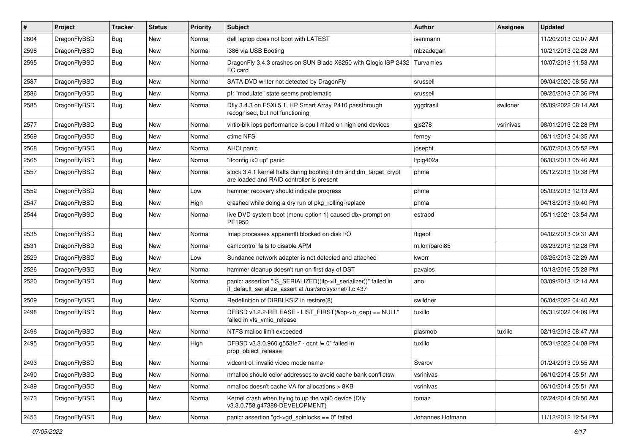| $\sharp$ | Project      | <b>Tracker</b> | <b>Status</b> | <b>Priority</b> | Subject                                                                                                                      | <b>Author</b>    | Assignee  | Updated             |
|----------|--------------|----------------|---------------|-----------------|------------------------------------------------------------------------------------------------------------------------------|------------------|-----------|---------------------|
| 2604     | DragonFlyBSD | <b>Bug</b>     | <b>New</b>    | Normal          | dell laptop does not boot with LATEST                                                                                        | isenmann         |           | 11/20/2013 02:07 AM |
| 2598     | DragonFlyBSD | <b>Bug</b>     | <b>New</b>    | Normal          | i386 via USB Booting                                                                                                         | mbzadegan        |           | 10/21/2013 02:28 AM |
| 2595     | DragonFlyBSD | <b>Bug</b>     | New           | Normal          | DragonFly 3.4.3 crashes on SUN Blade X6250 with Qlogic ISP 2432<br>FC card                                                   | Turvamies        |           | 10/07/2013 11:53 AM |
| 2587     | DragonFlyBSD | <b>Bug</b>     | <b>New</b>    | Normal          | SATA DVD writer not detected by DragonFly                                                                                    | srussell         |           | 09/04/2020 08:55 AM |
| 2586     | DragonFlyBSD | <b>Bug</b>     | <b>New</b>    | Normal          | pf: "modulate" state seems problematic                                                                                       | srussell         |           | 09/25/2013 07:36 PM |
| 2585     | DragonFlyBSD | <b>Bug</b>     | New           | Normal          | Dfly 3.4.3 on ESXi 5.1, HP Smart Array P410 passthrough<br>recognised, but not functioning                                   | yggdrasil        | swildner  | 05/09/2022 08:14 AM |
| 2577     | DragonFlyBSD | <b>Bug</b>     | <b>New</b>    | Normal          | virtio-blk iops performance is cpu limited on high end devices                                                               | gjs278           | vsrinivas | 08/01/2013 02:28 PM |
| 2569     | DragonFlyBSD | <b>Bug</b>     | <b>New</b>    | Normal          | ctime NFS                                                                                                                    | ferney           |           | 08/11/2013 04:35 AM |
| 2568     | DragonFlyBSD | <b>Bug</b>     | New           | Normal          | AHCI panic                                                                                                                   | josepht          |           | 06/07/2013 05:52 PM |
| 2565     | DragonFlyBSD | <b>Bug</b>     | <b>New</b>    | Normal          | "ifconfig ix0 up" panic                                                                                                      | Itpig402a        |           | 06/03/2013 05:46 AM |
| 2557     | DragonFlyBSD | <b>Bug</b>     | <b>New</b>    | Normal          | stock 3.4.1 kernel halts during booting if dm and dm_target_crypt<br>are loaded and RAID controller is present               | phma             |           | 05/12/2013 10:38 PM |
| 2552     | DragonFlyBSD | <b>Bug</b>     | <b>New</b>    | Low             | hammer recovery should indicate progress                                                                                     | phma             |           | 05/03/2013 12:13 AM |
| 2547     | DragonFlyBSD | <b>Bug</b>     | New           | High            | crashed while doing a dry run of pkg_rolling-replace                                                                         | phma             |           | 04/18/2013 10:40 PM |
| 2544     | DragonFlyBSD | <b>Bug</b>     | New           | Normal          | live DVD system boot (menu option 1) caused db> prompt on<br>PE1950                                                          | estrabd          |           | 05/11/2021 03:54 AM |
| 2535     | DragonFlyBSD | <b>Bug</b>     | <b>New</b>    | Normal          | Imap processes apparentlt blocked on disk I/O                                                                                | ftigeot          |           | 04/02/2013 09:31 AM |
| 2531     | DragonFlyBSD | <b>Bug</b>     | <b>New</b>    | Normal          | camcontrol fails to disable APM                                                                                              | m.lombardi85     |           | 03/23/2013 12:28 PM |
| 2529     | DragonFlyBSD | Bug            | <b>New</b>    | Low             | Sundance network adapter is not detected and attached                                                                        | kworr            |           | 03/25/2013 02:29 AM |
| 2526     | DragonFlyBSD | Bug            | New           | Normal          | hammer cleanup doesn't run on first day of DST                                                                               | pavalos          |           | 10/18/2016 05:28 PM |
| 2520     | DragonFlyBSD | Bug            | New           | Normal          | panic: assertion "IS_SERIALIZED((ifp->if_serializer))" failed in<br>if_default_serialize_assert at /usr/src/sys/net/if.c:437 | ano              |           | 03/09/2013 12:14 AM |
| 2509     | DragonFlyBSD | <b>Bug</b>     | <b>New</b>    | Normal          | Redefinition of DIRBLKSIZ in restore(8)                                                                                      | swildner         |           | 06/04/2022 04:40 AM |
| 2498     | DragonFlyBSD | Bug            | New           | Normal          | DFBSD v3.2.2-RELEASE - LIST_FIRST(&bp->b_dep) == NULL"<br>failed in vfs_vmio_release                                         | tuxillo          |           | 05/31/2022 04:09 PM |
| 2496     | DragonFlyBSD | <b>Bug</b>     | <b>New</b>    | Normal          | NTFS malloc limit exceeded                                                                                                   | plasmob          | tuxillo   | 02/19/2013 08:47 AM |
| 2495     | DragonFlyBSD | Bug            | New           | High            | DFBSD v3.3.0.960.g553fe7 - ocnt != 0" failed in<br>prop_object_release                                                       | tuxillo          |           | 05/31/2022 04:08 PM |
| 2493     | DragonFlyBSD | <b>Bug</b>     | New           | Normal          | vidcontrol: invalid video mode name                                                                                          | Svarov           |           | 01/24/2013 09:55 AM |
| 2490     | DragonFlyBSD | Bug            | New           | Normal          | nmalloc should color addresses to avoid cache bank conflictsw                                                                | vsrinivas        |           | 06/10/2014 05:51 AM |
| 2489     | DragonFlyBSD | Bug            | <b>New</b>    | Normal          | nmalloc doesn't cache VA for allocations > 8KB                                                                               | vsrinivas        |           | 06/10/2014 05:51 AM |
| 2473     | DragonFlyBSD | Bug            | New           | Normal          | Kernel crash when trying to up the wpi0 device (Dfly<br>v3.3.0.758.g47388-DEVELOPMENT)                                       | tomaz            |           | 02/24/2014 08:50 AM |
| 2453     | DragonFlyBSD | <b>Bug</b>     | New           | Normal          | panic: assertion "gd->gd_spinlocks == $0$ " failed                                                                           | Johannes.Hofmann |           | 11/12/2012 12:54 PM |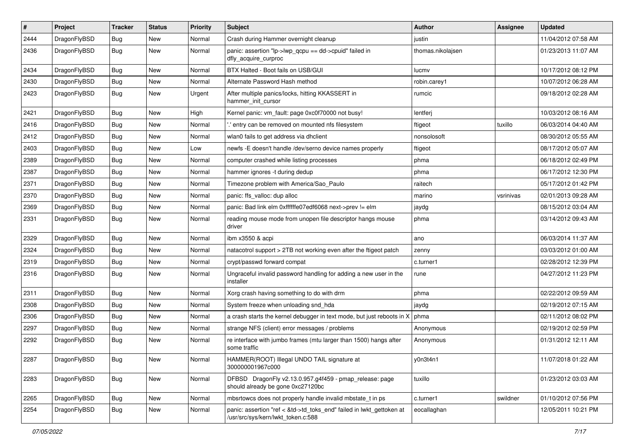| $\pmb{\#}$ | Project      | <b>Tracker</b> | <b>Status</b> | <b>Priority</b> | Subject                                                                                                    | <b>Author</b>     | <b>Assignee</b> | <b>Updated</b>      |
|------------|--------------|----------------|---------------|-----------------|------------------------------------------------------------------------------------------------------------|-------------------|-----------------|---------------------|
| 2444       | DragonFlyBSD | Bug            | New           | Normal          | Crash during Hammer overnight cleanup                                                                      | justin            |                 | 11/04/2012 07:58 AM |
| 2436       | DragonFlyBSD | Bug            | New           | Normal          | panic: assertion "lp->lwp_qcpu == dd->cpuid" failed in<br>dfly_acquire_curproc                             | thomas.nikolajsen |                 | 01/23/2013 11:07 AM |
| 2434       | DragonFlyBSD | Bug            | <b>New</b>    | Normal          | BTX Halted - Boot fails on USB/GUI                                                                         | lucmv             |                 | 10/17/2012 08:12 PM |
| 2430       | DragonFlyBSD | Bug            | New           | Normal          | Alternate Password Hash method                                                                             | robin.carey1      |                 | 10/07/2012 06:28 AM |
| 2423       | DragonFlyBSD | Bug            | <b>New</b>    | Urgent          | After multiple panics/locks, hitting KKASSERT in<br>hammer_init_cursor                                     | rumcic            |                 | 09/18/2012 02:28 AM |
| 2421       | DragonFlyBSD | <b>Bug</b>     | <b>New</b>    | High            | Kernel panic: vm_fault: page 0xc0f70000 not busy!                                                          | lentferj          |                 | 10/03/2012 08:16 AM |
| 2416       | DragonFlyBSD | Bug            | New           | Normal          | .' entry can be removed on mounted nfs filesystem                                                          | ftigeot           | tuxillo         | 06/03/2014 04:40 AM |
| 2412       | DragonFlyBSD | Bug            | New           | Normal          | wlan0 fails to get address via dhclient                                                                    | nonsolosoft       |                 | 08/30/2012 05:55 AM |
| 2403       | DragonFlyBSD | <b>Bug</b>     | New           | Low             | newfs -E doesn't handle /dev/serno device names properly                                                   | ftigeot           |                 | 08/17/2012 05:07 AM |
| 2389       | DragonFlyBSD | Bug            | New           | Normal          | computer crashed while listing processes                                                                   | phma              |                 | 06/18/2012 02:49 PM |
| 2387       | DragonFlyBSD | Bug            | New           | Normal          | hammer ignores -t during dedup                                                                             | phma              |                 | 06/17/2012 12:30 PM |
| 2371       | DragonFlyBSD | Bug            | <b>New</b>    | Normal          | Timezone problem with America/Sao_Paulo                                                                    | raitech           |                 | 05/17/2012 01:42 PM |
| 2370       | DragonFlyBSD | Bug            | New           | Normal          | panic: ffs_valloc: dup alloc                                                                               | marino            | vsrinivas       | 02/01/2013 09:28 AM |
| 2369       | DragonFlyBSD | Bug            | New           | Normal          | panic: Bad link elm 0xffffffe07edf6068 next->prev != elm                                                   | jaydg             |                 | 08/15/2012 03:04 AM |
| 2331       | DragonFlyBSD | Bug            | <b>New</b>    | Normal          | reading mouse mode from unopen file descriptor hangs mouse<br>driver                                       | phma              |                 | 03/14/2012 09:43 AM |
| 2329       | DragonFlyBSD | <b>Bug</b>     | <b>New</b>    | Normal          | ibm x3550 & acpi                                                                                           | ano               |                 | 06/03/2014 11:37 AM |
| 2324       | DragonFlyBSD | Bug            | New           | Normal          | natacotrol support > 2TB not working even after the ftigeot patch                                          | zenny             |                 | 03/03/2012 01:00 AM |
| 2319       | DragonFlyBSD | Bug            | <b>New</b>    | Normal          | crypt/passwd forward compat                                                                                | c.turner1         |                 | 02/28/2012 12:39 PM |
| 2316       | DragonFlyBSD | Bug            | New           | Normal          | Ungraceful invalid password handling for adding a new user in the<br>installer                             | rune              |                 | 04/27/2012 11:23 PM |
| 2311       | DragonFlyBSD | <b>Bug</b>     | <b>New</b>    | Normal          | Xorg crash having something to do with drm                                                                 | phma              |                 | 02/22/2012 09:59 AM |
| 2308       | DragonFlyBSD | Bug            | <b>New</b>    | Normal          | System freeze when unloading snd_hda                                                                       | jaydg             |                 | 02/19/2012 07:15 AM |
| 2306       | DragonFlyBSD | Bug            | New           | Normal          | a crash starts the kernel debugger in text mode, but just reboots in X                                     | phma              |                 | 02/11/2012 08:02 PM |
| 2297       | DragonFlyBSD | Bug            | <b>New</b>    | Normal          | strange NFS (client) error messages / problems                                                             | Anonymous         |                 | 02/19/2012 02:59 PM |
| 2292       | DragonFlyBSD | <b>Bug</b>     | New           | Normal          | re interface with jumbo frames (mtu larger than 1500) hangs after<br>some traffic                          | Anonymous         |                 | 01/31/2012 12:11 AM |
| 2287       | DragonFlyBSD | <b>Bug</b>     | New           | Normal          | HAMMER(ROOT) Illegal UNDO TAIL signature at<br>300000001967c000                                            | y0n3t4n1          |                 | 11/07/2018 01:22 AM |
| 2283       | DragonFlyBSD | Bug            | New           | Normal          | DFBSD DragonFly v2.13.0.957.g4f459 - pmap_release: page<br>should already be gone 0xc27120bc               | tuxillo           |                 | 01/23/2012 03:03 AM |
| 2265       | DragonFlyBSD | Bug            | New           | Normal          | mbsrtowcs does not properly handle invalid mbstate_t in ps                                                 | c.turner1         | swildner        | 01/10/2012 07:56 PM |
| 2254       | DragonFlyBSD | Bug            | New           | Normal          | panic: assertion "ref < &td->td toks end" failed in lwkt gettoken at<br>/usr/src/sys/kern/lwkt_token.c:588 | eocallaghan       |                 | 12/05/2011 10:21 PM |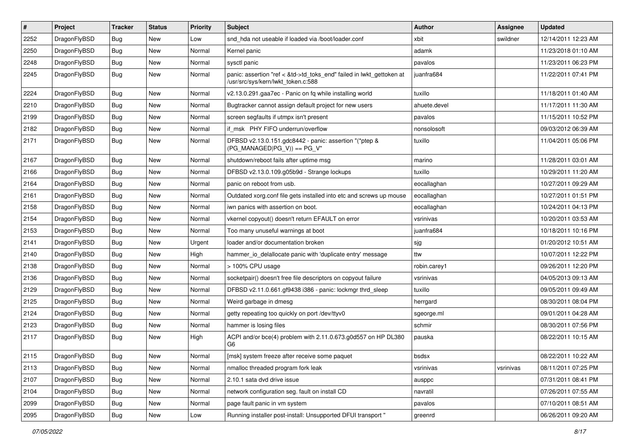| $\vert$ # | Project      | <b>Tracker</b> | <b>Status</b> | <b>Priority</b> | <b>Subject</b>                                                                                             | Author       | Assignee  | <b>Updated</b>      |
|-----------|--------------|----------------|---------------|-----------------|------------------------------------------------------------------------------------------------------------|--------------|-----------|---------------------|
| 2252      | DragonFlyBSD | <b>Bug</b>     | <b>New</b>    | Low             | snd hda not useable if loaded via /boot/loader.conf                                                        | xbit         | swildner  | 12/14/2011 12:23 AM |
| 2250      | DragonFlyBSD | Bug            | <b>New</b>    | Normal          | Kernel panic                                                                                               | adamk        |           | 11/23/2018 01:10 AM |
| 2248      | DragonFlyBSD | <b>Bug</b>     | <b>New</b>    | Normal          | sysctl panic                                                                                               | pavalos      |           | 11/23/2011 06:23 PM |
| 2245      | DragonFlyBSD | Bug            | New           | Normal          | panic: assertion "ref < &td->td_toks_end" failed in lwkt_gettoken at<br>/usr/src/sys/kern/lwkt_token.c:588 | juanfra684   |           | 11/22/2011 07:41 PM |
| 2224      | DragonFlyBSD | <b>Bug</b>     | New           | Normal          | v2.13.0.291.gaa7ec - Panic on fq while installing world                                                    | tuxillo      |           | 11/18/2011 01:40 AM |
| 2210      | DragonFlyBSD | Bug            | <b>New</b>    | Normal          | Bugtracker cannot assign default project for new users                                                     | ahuete.devel |           | 11/17/2011 11:30 AM |
| 2199      | DragonFlyBSD | <b>Bug</b>     | New           | Normal          | screen segfaults if utmpx isn't present                                                                    | pavalos      |           | 11/15/2011 10:52 PM |
| 2182      | DragonFlyBSD | Bug            | <b>New</b>    | Normal          | if msk PHY FIFO underrun/overflow                                                                          | nonsolosoft  |           | 09/03/2012 06:39 AM |
| 2171      | DragonFlyBSD | Bug            | New           | Normal          | DFBSD v2.13.0.151.gdc8442 - panic: assertion "(*ptep &<br>$(PG_MANAGED PG_V)$ == PG_V"                     | tuxillo      |           | 11/04/2011 05:06 PM |
| 2167      | DragonFlyBSD | Bug            | <b>New</b>    | Normal          | shutdown/reboot fails after uptime msg                                                                     | marino       |           | 11/28/2011 03:01 AM |
| 2166      | DragonFlyBSD | <b>Bug</b>     | <b>New</b>    | Normal          | DFBSD v2.13.0.109.g05b9d - Strange lockups                                                                 | tuxillo      |           | 10/29/2011 11:20 AM |
| 2164      | DragonFlyBSD | <b>Bug</b>     | <b>New</b>    | Normal          | panic on reboot from usb.                                                                                  | eocallaghan  |           | 10/27/2011 09:29 AM |
| 2161      | DragonFlyBSD | Bug            | <b>New</b>    | Normal          | Outdated xorg.conf file gets installed into etc and screws up mouse                                        | eocallaghan  |           | 10/27/2011 01:51 PM |
| 2158      | DragonFlyBSD | <b>Bug</b>     | New           | Normal          | iwn panics with assertion on boot.                                                                         | eocallaghan  |           | 10/24/2011 04:13 PM |
| 2154      | DragonFlyBSD | Bug            | <b>New</b>    | Normal          | vkernel copyout() doesn't return EFAULT on error                                                           | vsrinivas    |           | 10/20/2011 03:53 AM |
| 2153      | DragonFlyBSD | <b>Bug</b>     | <b>New</b>    | Normal          | Too many unuseful warnings at boot                                                                         | juanfra684   |           | 10/18/2011 10:16 PM |
| 2141      | DragonFlyBSD | <b>Bug</b>     | <b>New</b>    | Urgent          | loader and/or documentation broken                                                                         | sjg          |           | 01/20/2012 10:51 AM |
| 2140      | DragonFlyBSD | Bug            | <b>New</b>    | High            | hammer_io_delallocate panic with 'duplicate entry' message                                                 | ttw          |           | 10/07/2011 12:22 PM |
| 2138      | DragonFlyBSD | <b>Bug</b>     | <b>New</b>    | Normal          | > 100% CPU usage                                                                                           | robin.carey1 |           | 09/26/2011 12:20 PM |
| 2136      | DragonFlyBSD | Bug            | <b>New</b>    | Normal          | socketpair() doesn't free file descriptors on copyout failure                                              | vsrinivas    |           | 04/05/2013 09:13 AM |
| 2129      | DragonFlyBSD | <b>Bug</b>     | <b>New</b>    | Normal          | DFBSD v2.11.0.661.gf9438 i386 - panic: lockmgr thrd_sleep                                                  | tuxillo      |           | 09/05/2011 09:49 AM |
| 2125      | DragonFlyBSD | <b>Bug</b>     | <b>New</b>    | Normal          | Weird garbage in dmesg                                                                                     | herrgard     |           | 08/30/2011 08:04 PM |
| 2124      | DragonFlyBSD | Bug            | New           | Normal          | getty repeating too quickly on port /dev/ttyv0                                                             | sgeorge.ml   |           | 09/01/2011 04:28 AM |
| 2123      | DragonFlyBSD | <b>Bug</b>     | <b>New</b>    | Normal          | hammer is losing files                                                                                     | schmir       |           | 08/30/2011 07:56 PM |
| 2117      | DragonFlyBSD | Bug            | New           | High            | ACPI and/or bce(4) problem with 2.11.0.673.g0d557 on HP DL380<br>G6                                        | pauska       |           | 08/22/2011 10:15 AM |
| 2115      | DragonFlyBSD | Bug            | New           | Normal          | [msk] system freeze after receive some paquet                                                              | bsdsx        |           | 08/22/2011 10:22 AM |
| 2113      | DragonFlyBSD | Bug            | <b>New</b>    | Normal          | nmalloc threaded program fork leak                                                                         | vsrinivas    | vsrinivas | 08/11/2011 07:25 PM |
| 2107      | DragonFlyBSD | Bug            | New           | Normal          | 2.10.1 sata dvd drive issue                                                                                | ausppc       |           | 07/31/2011 08:41 PM |
| 2104      | DragonFlyBSD | Bug            | New           | Normal          | network configuration seg. fault on install CD                                                             | navratil     |           | 07/26/2011 07:55 AM |
| 2099      | DragonFlyBSD | Bug            | New           | Normal          | page fault panic in vm system                                                                              | pavalos      |           | 07/10/2011 08:51 AM |
| 2095      | DragonFlyBSD | Bug            | New           | Low             | Running installer post-install: Unsupported DFUI transport "                                               | greenrd      |           | 06/26/2011 09:20 AM |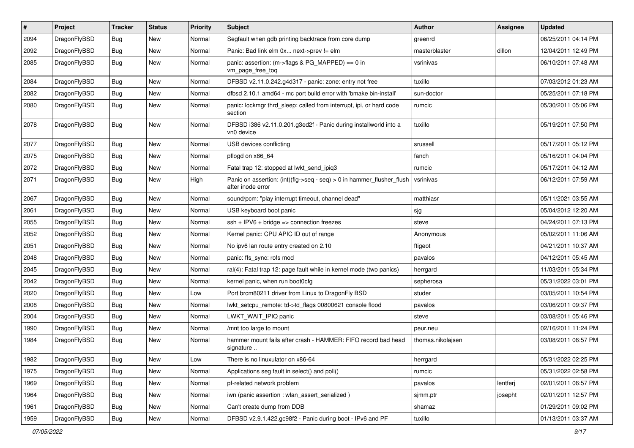| $\pmb{\#}$ | Project      | <b>Tracker</b> | <b>Status</b> | <b>Priority</b> | Subject                                                                                            | <b>Author</b>     | <b>Assignee</b> | <b>Updated</b>      |
|------------|--------------|----------------|---------------|-----------------|----------------------------------------------------------------------------------------------------|-------------------|-----------------|---------------------|
| 2094       | DragonFlyBSD | <b>Bug</b>     | New           | Normal          | Segfault when gdb printing backtrace from core dump                                                | greenrd           |                 | 06/25/2011 04:14 PM |
| 2092       | DragonFlyBSD | Bug            | <b>New</b>    | Normal          | Panic: Bad link elm 0x next->prev != elm                                                           | masterblaster     | dillon          | 12/04/2011 12:49 PM |
| 2085       | DragonFlyBSD | Bug            | New           | Normal          | panic: assertion: (m->flags & PG_MAPPED) == 0 in<br>vm_page_free_toq                               | vsrinivas         |                 | 06/10/2011 07:48 AM |
| 2084       | DragonFlyBSD | Bug            | <b>New</b>    | Normal          | DFBSD v2.11.0.242.g4d317 - panic: zone: entry not free                                             | tuxillo           |                 | 07/03/2012 01:23 AM |
| 2082       | DragonFlyBSD | <b>Bug</b>     | New           | Normal          | dfbsd 2.10.1 amd64 - mc port build error with 'bmake bin-install'                                  | sun-doctor        |                 | 05/25/2011 07:18 PM |
| 2080       | DragonFlyBSD | Bug            | <b>New</b>    | Normal          | panic: lockmgr thrd_sleep: called from interrupt, ipi, or hard code<br>section                     | rumcic            |                 | 05/30/2011 05:06 PM |
| 2078       | DragonFlyBSD | Bug            | <b>New</b>    | Normal          | DFBSD i386 v2.11.0.201.g3ed2f - Panic during installworld into a<br>vn0 device                     | tuxillo           |                 | 05/19/2011 07:50 PM |
| 2077       | DragonFlyBSD | <b>Bug</b>     | <b>New</b>    | Normal          | USB devices conflicting                                                                            | srussell          |                 | 05/17/2011 05:12 PM |
| 2075       | DragonFlyBSD | Bug            | <b>New</b>    | Normal          | pflogd on x86 64                                                                                   | fanch             |                 | 05/16/2011 04:04 PM |
| 2072       | DragonFlyBSD | Bug            | <b>New</b>    | Normal          | Fatal trap 12: stopped at lwkt_send_ipiq3                                                          | rumcic            |                 | 05/17/2011 04:12 AM |
| 2071       | DragonFlyBSD | Bug            | New           | High            | Panic on assertion: $(int)(fig\text{-}seq - seq) > 0$ in hammer_flusher_flush<br>after inode error | vsrinivas         |                 | 06/12/2011 07:59 AM |
| 2067       | DragonFlyBSD | Bug            | New           | Normal          | sound/pcm: "play interrupt timeout, channel dead"                                                  | matthiasr         |                 | 05/11/2021 03:55 AM |
| 2061       | DragonFlyBSD | Bug            | New           | Normal          | USB keyboard boot panic                                                                            | sjg               |                 | 05/04/2012 12:20 AM |
| 2055       | DragonFlyBSD | Bug            | <b>New</b>    | Normal          | $ssh + IPV6 + bridge \Rightarrow connection freezes$                                               | steve             |                 | 04/24/2011 07:13 PM |
| 2052       | DragonFlyBSD | Bug            | New           | Normal          | Kernel panic: CPU APIC ID out of range                                                             | Anonymous         |                 | 05/02/2011 11:06 AM |
| 2051       | DragonFlyBSD | Bug            | <b>New</b>    | Normal          | No ipv6 lan route entry created on 2.10                                                            | ftigeot           |                 | 04/21/2011 10:37 AM |
| 2048       | DragonFlyBSD | Bug            | <b>New</b>    | Normal          | panic: ffs_sync: rofs mod                                                                          | pavalos           |                 | 04/12/2011 05:45 AM |
| 2045       | DragonFlyBSD | <b>Bug</b>     | New           | Normal          | ral(4): Fatal trap 12: page fault while in kernel mode (two panics)                                | herrgard          |                 | 11/03/2011 05:34 PM |
| 2042       | DragonFlyBSD | Bug            | <b>New</b>    | Normal          | kernel panic, when run boot0cfg                                                                    | sepherosa         |                 | 05/31/2022 03:01 PM |
| 2020       | DragonFlyBSD | Bug            | New           | Low             | Port brcm80211 driver from Linux to DragonFly BSD                                                  | studer            |                 | 03/05/2011 10:54 PM |
| 2008       | DragonFlyBSD | Bug            | New           | Normal          | lwkt_setcpu_remote: td->td_flags 00800621 console flood                                            | pavalos           |                 | 03/06/2011 09:37 PM |
| 2004       | DragonFlyBSD | Bug            | New           | Normal          | LWKT_WAIT_IPIQ panic                                                                               | steve             |                 | 03/08/2011 05:46 PM |
| 1990       | DragonFlyBSD | Bug            | New           | Normal          | /mnt too large to mount                                                                            | peur.neu          |                 | 02/16/2011 11:24 PM |
| 1984       | DragonFlyBSD | Bug            | New           | Normal          | hammer mount fails after crash - HAMMER: FIFO record bad head<br>signature                         | thomas.nikolajsen |                 | 03/08/2011 06:57 PM |
| 1982       | DragonFlyBSD | Bug            | New           | Low             | There is no linuxulator on x86-64                                                                  | herrgard          |                 | 05/31/2022 02:25 PM |
| 1975       | DragonFlyBSD | Bug            | New           | Normal          | Applications seg fault in select() and poll()                                                      | rumcic            |                 | 05/31/2022 02:58 PM |
| 1969       | DragonFlyBSD | <b>Bug</b>     | New           | Normal          | pf-related network problem                                                                         | pavalos           | lentferj        | 02/01/2011 06:57 PM |
| 1964       | DragonFlyBSD | <b>Bug</b>     | New           | Normal          | iwn (panic assertion : wlan_assert_serialized)                                                     | sjmm.ptr          | josepht         | 02/01/2011 12:57 PM |
| 1961       | DragonFlyBSD | <b>Bug</b>     | New           | Normal          | Can't create dump from DDB                                                                         | shamaz            |                 | 01/29/2011 09:02 PM |
| 1959       | DragonFlyBSD | Bug            | New           | Normal          | DFBSD v2.9.1.422.gc98f2 - Panic during boot - IPv6 and PF                                          | tuxillo           |                 | 01/13/2011 03:37 AM |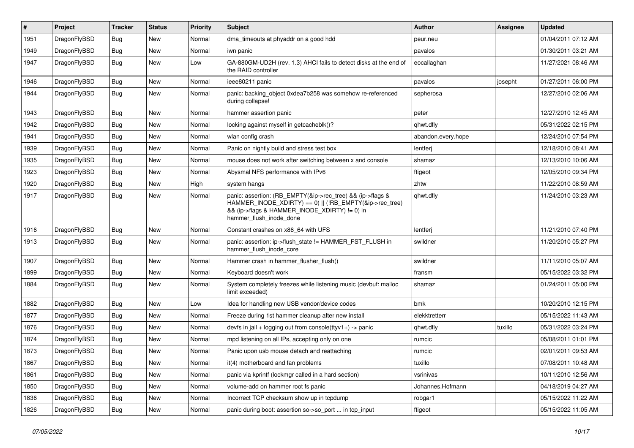| #    | Project      | <b>Tracker</b> | <b>Status</b> | <b>Priority</b> | <b>Subject</b>                                                                                                                                                                                    | <b>Author</b>      | Assignee | <b>Updated</b>      |
|------|--------------|----------------|---------------|-----------------|---------------------------------------------------------------------------------------------------------------------------------------------------------------------------------------------------|--------------------|----------|---------------------|
| 1951 | DragonFlyBSD | <b>Bug</b>     | <b>New</b>    | Normal          | dma_timeouts at phyaddr on a good hdd                                                                                                                                                             | peur.neu           |          | 01/04/2011 07:12 AM |
| 1949 | DragonFlyBSD | Bug            | <b>New</b>    | Normal          | iwn panic                                                                                                                                                                                         | pavalos            |          | 01/30/2011 03:21 AM |
| 1947 | DragonFlyBSD | <b>Bug</b>     | New           | Low             | GA-880GM-UD2H (rev. 1.3) AHCI fails to detect disks at the end of<br>the RAID controller                                                                                                          | eocallaghan        |          | 11/27/2021 08:46 AM |
| 1946 | DragonFlyBSD | Bug            | New           | Normal          | ieee80211 panic                                                                                                                                                                                   | pavalos            | josepht  | 01/27/2011 06:00 PM |
| 1944 | DragonFlyBSD | <b>Bug</b>     | <b>New</b>    | Normal          | panic: backing object 0xdea7b258 was somehow re-referenced<br>during collapse!                                                                                                                    | sepherosa          |          | 12/27/2010 02:06 AM |
| 1943 | DragonFlyBSD | <b>Bug</b>     | New           | Normal          | hammer assertion panic                                                                                                                                                                            | peter              |          | 12/27/2010 12:45 AM |
| 1942 | DragonFlyBSD | <b>Bug</b>     | New           | Normal          | locking against myself in getcacheblk()?                                                                                                                                                          | qhwt.dfly          |          | 05/31/2022 02:15 PM |
| 1941 | DragonFlyBSD | Bug            | <b>New</b>    | Normal          | wlan config crash                                                                                                                                                                                 | abandon.every.hope |          | 12/24/2010 07:54 PM |
| 1939 | DragonFlyBSD | <b>Bug</b>     | New           | Normal          | Panic on nightly build and stress test box                                                                                                                                                        | lentferj           |          | 12/18/2010 08:41 AM |
| 1935 | DragonFlyBSD | <b>Bug</b>     | New           | Normal          | mouse does not work after switching between x and console                                                                                                                                         | shamaz             |          | 12/13/2010 10:06 AM |
| 1923 | DragonFlyBSD | <b>Bug</b>     | New           | Normal          | Abysmal NFS performance with IPv6                                                                                                                                                                 | ftigeot            |          | 12/05/2010 09:34 PM |
| 1920 | DragonFlyBSD | <b>Bug</b>     | New           | High            | system hangs                                                                                                                                                                                      | zhtw               |          | 11/22/2010 08:59 AM |
| 1917 | DragonFlyBSD | Bug            | New           | Normal          | panic: assertion: (RB_EMPTY(&ip->rec_tree) && (ip->flags &<br>HAMMER_INODE_XDIRTY) == 0)    (!RB_EMPTY(&ip->rec_tree)<br>&& (ip->flags & HAMMER INODE XDIRTY) != 0) in<br>hammer_flush_inode_done | qhwt.dfly          |          | 11/24/2010 03:23 AM |
| 1916 | DragonFlyBSD | <b>Bug</b>     | <b>New</b>    | Normal          | Constant crashes on x86_64 with UFS                                                                                                                                                               | lentferj           |          | 11/21/2010 07:40 PM |
| 1913 | DragonFlyBSD | <b>Bug</b>     | New           | Normal          | panic: assertion: ip->flush_state != HAMMER_FST_FLUSH in<br>hammer_flush_inode_core                                                                                                               | swildner           |          | 11/20/2010 05:27 PM |
| 1907 | DragonFlyBSD | <b>Bug</b>     | New           | Normal          | Hammer crash in hammer flusher flush()                                                                                                                                                            | swildner           |          | 11/11/2010 05:07 AM |
| 1899 | DragonFlyBSD | <b>Bug</b>     | New           | Normal          | Keyboard doesn't work                                                                                                                                                                             | fransm             |          | 05/15/2022 03:32 PM |
| 1884 | DragonFlyBSD | <b>Bug</b>     | <b>New</b>    | Normal          | System completely freezes while listening music (devbuf: malloc<br>limit exceeded)                                                                                                                | shamaz             |          | 01/24/2011 05:00 PM |
| 1882 | DragonFlyBSD | Bug            | New           | Low             | Idea for handling new USB vendor/device codes                                                                                                                                                     | bmk                |          | 10/20/2010 12:15 PM |
| 1877 | DragonFlyBSD | <b>Bug</b>     | <b>New</b>    | Normal          | Freeze during 1st hammer cleanup after new install                                                                                                                                                | elekktretterr      |          | 05/15/2022 11:43 AM |
| 1876 | DragonFlyBSD | <b>Bug</b>     | New           | Normal          | devfs in jail + logging out from console(ttyv1+) -> panic                                                                                                                                         | qhwt.dfly          | tuxillo  | 05/31/2022 03:24 PM |
| 1874 | DragonFlyBSD | <b>Bug</b>     | New           | Normal          | mpd listening on all IPs, accepting only on one                                                                                                                                                   | rumcic             |          | 05/08/2011 01:01 PM |
| 1873 | DragonFlyBSD | <b>Bug</b>     | <b>New</b>    | Normal          | Panic upon usb mouse detach and reattaching                                                                                                                                                       | rumcic             |          | 02/01/2011 09:53 AM |
| 1867 | DragonFlyBSD | <b>Bug</b>     | New           | Normal          | it(4) motherboard and fan problems                                                                                                                                                                | tuxillo            |          | 07/08/2011 10:48 AM |
| 1861 | DragonFlyBSD | <b>Bug</b>     | New           | Normal          | panic via kprintf (lockmgr called in a hard section)                                                                                                                                              | vsrinivas          |          | 10/11/2010 12:56 AM |
| 1850 | DragonFlyBSD | <b>Bug</b>     | <b>New</b>    | Normal          | volume-add on hammer root fs panic                                                                                                                                                                | Johannes.Hofmann   |          | 04/18/2019 04:27 AM |
| 1836 | DragonFlyBSD | <b>Bug</b>     | <b>New</b>    | Normal          | Incorrect TCP checksum show up in tcpdump                                                                                                                                                         | robgar1            |          | 05/15/2022 11:22 AM |
| 1826 | DragonFlyBSD | <b>Bug</b>     | New           | Normal          | panic during boot: assertion so->so_port  in tcp_input                                                                                                                                            | ftigeot            |          | 05/15/2022 11:05 AM |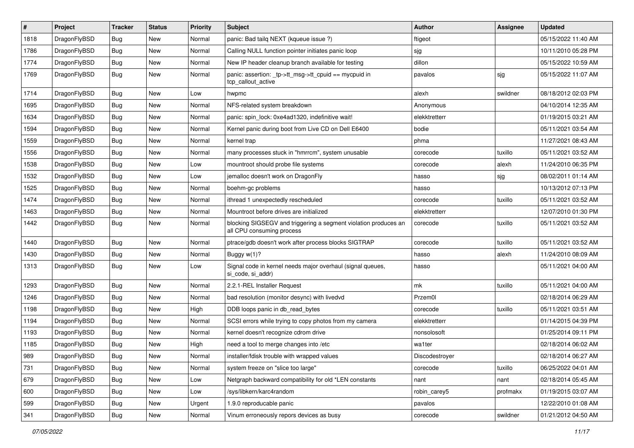| #    | Project      | <b>Tracker</b> | <b>Status</b> | <b>Priority</b> | Subject                                                                                      | Author         | Assignee | <b>Updated</b>      |
|------|--------------|----------------|---------------|-----------------|----------------------------------------------------------------------------------------------|----------------|----------|---------------------|
| 1818 | DragonFlyBSD | <b>Bug</b>     | <b>New</b>    | Normal          | panic: Bad tailq NEXT (kqueue issue ?)                                                       | ftigeot        |          | 05/15/2022 11:40 AM |
| 1786 | DragonFlyBSD | Bug            | New           | Normal          | Calling NULL function pointer initiates panic loop                                           | sjg            |          | 10/11/2010 05:28 PM |
| 1774 | DragonFlyBSD | Bug            | New           | Normal          | New IP header cleanup branch available for testing                                           | dillon         |          | 05/15/2022 10:59 AM |
| 1769 | DragonFlyBSD | <b>Bug</b>     | New           | Normal          | panic: assertion: _tp->tt_msg->tt_cpuid == mycpuid in<br>tcp callout active                  | pavalos        | sjg      | 05/15/2022 11:07 AM |
| 1714 | DragonFlyBSD | <b>Bug</b>     | New           | Low             | hwpmc                                                                                        | alexh          | swildner | 08/18/2012 02:03 PM |
| 1695 | DragonFlyBSD | <b>Bug</b>     | New           | Normal          | NFS-related system breakdown                                                                 | Anonymous      |          | 04/10/2014 12:35 AM |
| 1634 | DragonFlyBSD | Bug            | New           | Normal          | panic: spin lock: 0xe4ad1320, indefinitive wait!                                             | elekktretterr  |          | 01/19/2015 03:21 AM |
| 1594 | DragonFlyBSD | Bug            | New           | Normal          | Kernel panic during boot from Live CD on Dell E6400                                          | bodie          |          | 05/11/2021 03:54 AM |
| 1559 | DragonFlyBSD | <b>Bug</b>     | New           | Normal          | kernel trap                                                                                  | phma           |          | 11/27/2021 08:43 AM |
| 1556 | DragonFlyBSD | Bug            | New           | Normal          | many processes stuck in "hmrrcm", system unusable                                            | corecode       | tuxillo  | 05/11/2021 03:52 AM |
| 1538 | DragonFlyBSD | <b>Bug</b>     | New           | Low             | mountroot should probe file systems                                                          | corecode       | alexh    | 11/24/2010 06:35 PM |
| 1532 | DragonFlyBSD | Bug            | New           | Low             | jemalloc doesn't work on DragonFly                                                           | hasso          | sjg      | 08/02/2011 01:14 AM |
| 1525 | DragonFlyBSD | Bug            | New           | Normal          | boehm-gc problems                                                                            | hasso          |          | 10/13/2012 07:13 PM |
| 1474 | DragonFlyBSD | <b>Bug</b>     | New           | Normal          | ithread 1 unexpectedly rescheduled                                                           | corecode       | tuxillo  | 05/11/2021 03:52 AM |
| 1463 | DragonFlyBSD | <b>Bug</b>     | New           | Normal          | Mountroot before drives are initialized                                                      | elekktretterr  |          | 12/07/2010 01:30 PM |
| 1442 | DragonFlyBSD | Bug            | New           | Normal          | blocking SIGSEGV and triggering a segment violation produces an<br>all CPU consuming process | corecode       | tuxillo  | 05/11/2021 03:52 AM |
| 1440 | DragonFlyBSD | <b>Bug</b>     | New           | Normal          | ptrace/gdb doesn't work after process blocks SIGTRAP                                         | corecode       | tuxillo  | 05/11/2021 03:52 AM |
| 1430 | DragonFlyBSD | <b>Bug</b>     | <b>New</b>    | Normal          | Buggy w(1)?                                                                                  | hasso          | alexh    | 11/24/2010 08:09 AM |
| 1313 | DragonFlyBSD | <b>Bug</b>     | New           | Low             | Signal code in kernel needs major overhaul (signal queues,<br>si code, si addr)              | hasso          |          | 05/11/2021 04:00 AM |
| 1293 | DragonFlyBSD | Bug            | New           | Normal          | 2.2.1-REL Installer Request                                                                  | mk             | tuxillo  | 05/11/2021 04:00 AM |
| 1246 | DragonFlyBSD | Bug            | New           | Normal          | bad resolution (monitor desync) with livedvd                                                 | Przem0l        |          | 02/18/2014 06:29 AM |
| 1198 | DragonFlyBSD | <b>Bug</b>     | New           | High            | DDB loops panic in db_read_bytes                                                             | corecode       | tuxillo  | 05/11/2021 03:51 AM |
| 1194 | DragonFlyBSD | Bug            | New           | Normal          | SCSI errors while trying to copy photos from my camera                                       | elekktretterr  |          | 01/14/2015 04:39 PM |
| 1193 | DragonFlyBSD | <b>Bug</b>     | New           | Normal          | kernel doesn't recognize cdrom drive                                                         | nonsolosoft    |          | 01/25/2014 09:11 PM |
| 1185 | DragonFlyBSD | <b>Bug</b>     | New           | High            | need a tool to merge changes into /etc                                                       | wa1ter         |          | 02/18/2014 06:02 AM |
| 989  | DragonFlyBSD | Bug            | New           | Normal          | installer/fdisk trouble with wrapped values                                                  | Discodestroyer |          | 02/18/2014 06:27 AM |
| 731  | DragonFlyBSD | <b>Bug</b>     | New           | Normal          | system freeze on "slice too large"                                                           | corecode       | tuxillo  | 06/25/2022 04:01 AM |
| 679  | DragonFlyBSD | <b>Bug</b>     | New           | Low             | Netgraph backward compatibility for old *LEN constants                                       | nant           | nant     | 02/18/2014 05:45 AM |
| 600  | DragonFlyBSD | <b>Bug</b>     | New           | Low             | /sys/libkern/karc4random                                                                     | robin_carey5   | profmakx | 01/19/2015 03:07 AM |
| 599  | DragonFlyBSD | <b>Bug</b>     | New           | Urgent          | 1.9.0 reproducable panic                                                                     | pavalos        |          | 12/22/2010 01:08 AM |
| 341  | DragonFlyBSD | <b>Bug</b>     | New           | Normal          | Vinum erroneously repors devices as busy                                                     | corecode       | swildner | 01/21/2012 04:50 AM |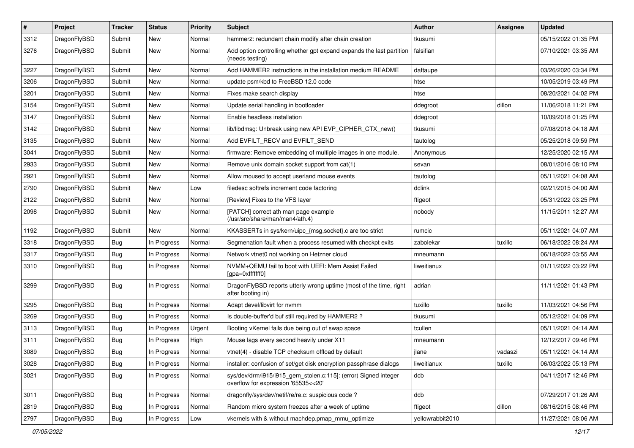| $\pmb{\#}$ | Project      | <b>Tracker</b> | <b>Status</b> | <b>Priority</b> | Subject                                                                                                | Author           | Assignee | <b>Updated</b>      |
|------------|--------------|----------------|---------------|-----------------|--------------------------------------------------------------------------------------------------------|------------------|----------|---------------------|
| 3312       | DragonFlyBSD | Submit         | New           | Normal          | hammer2: redundant chain modify after chain creation                                                   | tkusumi          |          | 05/15/2022 01:35 PM |
| 3276       | DragonFlyBSD | Submit         | New           | Normal          | Add option controlling whether gpt expand expands the last partition<br>(needs testing)                | falsifian        |          | 07/10/2021 03:35 AM |
| 3227       | DragonFlyBSD | Submit         | New           | Normal          | Add HAMMER2 instructions in the installation medium README                                             | daftaupe         |          | 03/26/2020 03:34 PM |
| 3206       | DragonFlyBSD | Submit         | New           | Normal          | update psm/kbd to FreeBSD 12.0 code                                                                    | htse             |          | 10/05/2019 03:49 PM |
| 3201       | DragonFlyBSD | Submit         | New           | Normal          | Fixes make search display                                                                              | htse             |          | 08/20/2021 04:02 PM |
| 3154       | DragonFlyBSD | Submit         | New           | Normal          | Update serial handling in bootloader                                                                   | ddegroot         | dillon   | 11/06/2018 11:21 PM |
| 3147       | DragonFlyBSD | Submit         | New           | Normal          | Enable headless installation                                                                           | ddegroot         |          | 10/09/2018 01:25 PM |
| 3142       | DragonFlyBSD | Submit         | New           | Normal          | lib/libdmsg: Unbreak using new API EVP_CIPHER_CTX_new()                                                | tkusumi          |          | 07/08/2018 04:18 AM |
| 3135       | DragonFlyBSD | Submit         | New           | Normal          | Add EVFILT_RECV and EVFILT_SEND                                                                        | tautolog         |          | 05/25/2018 09:59 PM |
| 3041       | DragonFlyBSD | Submit         | New           | Normal          | firmware: Remove embedding of multiple images in one module.                                           | Anonymous        |          | 12/25/2020 02:15 AM |
| 2933       | DragonFlyBSD | Submit         | New           | Normal          | Remove unix domain socket support from cat(1)                                                          | sevan            |          | 08/01/2016 08:10 PM |
| 2921       | DragonFlyBSD | Submit         | New           | Normal          | Allow moused to accept userland mouse events                                                           | tautolog         |          | 05/11/2021 04:08 AM |
| 2790       | DragonFlyBSD | Submit         | <b>New</b>    | Low             | filedesc softrefs increment code factoring                                                             | dclink           |          | 02/21/2015 04:00 AM |
| 2122       | DragonFlyBSD | Submit         | New           | Normal          | [Review] Fixes to the VFS layer                                                                        | ftigeot          |          | 05/31/2022 03:25 PM |
| 2098       | DragonFlyBSD | Submit         | <b>New</b>    | Normal          | [PATCH] correct ath man page example<br>(/usr/src/share/man/man4/ath.4)                                | nobody           |          | 11/15/2011 12:27 AM |
| 1192       | DragonFlyBSD | Submit         | <b>New</b>    | Normal          | KKASSERTs in sys/kern/uipc_{msg,socket}.c are too strict                                               | rumcic           |          | 05/11/2021 04:07 AM |
| 3318       | DragonFlyBSD | <b>Bug</b>     | In Progress   | Normal          | Segmenation fault when a process resumed with checkpt exits                                            | zabolekar        | tuxillo  | 06/18/2022 08:24 AM |
| 3317       | DragonFlyBSD | <b>Bug</b>     | In Progress   | Normal          | Network vtnet0 not working on Hetzner cloud                                                            | mneumann         |          | 06/18/2022 03:55 AM |
| 3310       | DragonFlyBSD | Bug            | In Progress   | Normal          | NVMM+QEMU fail to boot with UEFI: Mem Assist Failed<br>[gpa=0xfffffff0]                                | liweitianux      |          | 01/11/2022 03:22 PM |
| 3299       | DragonFlyBSD | Bug            | In Progress   | Normal          | DragonFlyBSD reports utterly wrong uptime (most of the time, right<br>after booting in)                | adrian           |          | 11/11/2021 01:43 PM |
| 3295       | DragonFlyBSD | Bug            | In Progress   | Normal          | Adapt devel/libvirt for nvmm                                                                           | tuxillo          | tuxillo  | 11/03/2021 04:56 PM |
| 3269       | DragonFlyBSD | <b>Bug</b>     | In Progress   | Normal          | Is double-buffer'd buf still required by HAMMER2 ?                                                     | tkusumi          |          | 05/12/2021 04:09 PM |
| 3113       | DragonFlyBSD | <b>Bug</b>     | In Progress   | Urgent          | Booting vKernel fails due being out of swap space                                                      | tcullen          |          | 05/11/2021 04:14 AM |
| 3111       | DragonFlyBSD | <b>Bug</b>     | In Progress   | High            | Mouse lags every second heavily under X11                                                              | mneumann         |          | 12/12/2017 09:46 PM |
| 3089       | DragonFlyBSD | <b>Bug</b>     | In Progress   | Normal          | vtnet(4) - disable TCP checksum offload by default                                                     | jlane            | vadaszi  | 05/11/2021 04:14 AM |
| 3028       | DragonFlyBSD | <b>Bug</b>     | In Progress   | Normal          | installer: confusion of set/get disk encryption passphrase dialogs                                     | liweitianux      | tuxillo  | 06/03/2022 05:13 PM |
| 3021       | DragonFlyBSD | <b>Bug</b>     | In Progress   | Normal          | sys/dev/drm/i915/i915_gem_stolen.c:115]: (error) Signed integer<br>overflow for expression '65535<<20' | dcb              |          | 04/11/2017 12:46 PM |
| 3011       | DragonFlyBSD | Bug            | In Progress   | Normal          | dragonfly/sys/dev/netif/re/re.c: suspicious code?                                                      | dcb              |          | 07/29/2017 01:26 AM |
| 2819       | DragonFlyBSD | Bug            | In Progress   | Normal          | Random micro system freezes after a week of uptime                                                     | ftigeot          | dillon   | 08/16/2015 08:46 PM |
| 2797       | DragonFlyBSD | <b>Bug</b>     | In Progress   | Low             | vkernels with & without machdep.pmap_mmu_optimize                                                      | yellowrabbit2010 |          | 11/27/2021 08:06 AM |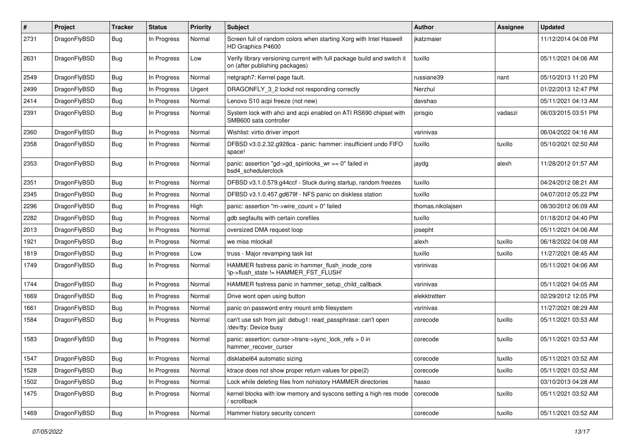| $\sharp$ | Project      | <b>Tracker</b> | <b>Status</b> | <b>Priority</b> | Subject                                                                                                   | Author            | Assignee | <b>Updated</b>      |
|----------|--------------|----------------|---------------|-----------------|-----------------------------------------------------------------------------------------------------------|-------------------|----------|---------------------|
| 2731     | DragonFlyBSD | Bug            | In Progress   | Normal          | Screen full of random colors when starting Xorg with Intel Haswell<br>HD Graphics P4600                   | jkatzmaier        |          | 11/12/2014 04:08 PM |
| 2631     | DragonFlyBSD | Bug            | In Progress   | Low             | Verify library versioning current with full package build and switch it<br>on (after publishing packages) | tuxillo           |          | 05/11/2021 04:06 AM |
| 2549     | DragonFlyBSD | Bug            | In Progress   | Normal          | netgraph7: Kernel page fault.                                                                             | russiane39        | nant     | 05/10/2013 11:20 PM |
| 2499     | DragonFlyBSD | Bug            | In Progress   | Urgent          | DRAGONFLY_3_2 lockd not responding correctly                                                              | Nerzhul           |          | 01/22/2013 12:47 PM |
| 2414     | DragonFlyBSD | <b>Bug</b>     | In Progress   | Normal          | Lenovo S10 acpi freeze (not new)                                                                          | davshao           |          | 05/11/2021 04:13 AM |
| 2391     | DragonFlyBSD | <b>Bug</b>     | In Progress   | Normal          | System lock with ahci and acpi enabled on ATI RS690 chipset with<br>SMB600 sata controller                | jorisgio          | vadaszi  | 06/03/2015 03:51 PM |
| 2360     | DragonFlyBSD | Bug            | In Progress   | Normal          | Wishlist: virtio driver import                                                                            | vsrinivas         |          | 06/04/2022 04:16 AM |
| 2358     | DragonFlyBSD | <b>Bug</b>     | In Progress   | Normal          | DFBSD v3.0.2.32.g928ca - panic: hammer: insufficient undo FIFO<br>space!                                  | tuxillo           | tuxillo  | 05/10/2021 02:50 AM |
| 2353     | DragonFlyBSD | <b>Bug</b>     | In Progress   | Normal          | panic: assertion "gd->gd_spinlocks_wr == 0" failed in<br>bsd4_schedulerclock                              | jaydg             | alexh    | 11/28/2012 01:57 AM |
| 2351     | DragonFlyBSD | <b>Bug</b>     | In Progress   | Normal          | DFBSD v3.1.0.579.g44ccf - Stuck during startup, random freezes                                            | tuxillo           |          | 04/24/2012 08:21 AM |
| 2345     | DragonFlyBSD | <b>Bug</b>     | In Progress   | Normal          | DFBSD v3.1.0.457.gd679f - NFS panic on diskless station                                                   | tuxillo           |          | 04/07/2012 05:22 PM |
| 2296     | DragonFlyBSD | <b>Bug</b>     | In Progress   | High            | panic: assertion "m->wire count > 0" failed                                                               | thomas.nikolajsen |          | 08/30/2012 06:09 AM |
| 2282     | DragonFlyBSD | <b>Bug</b>     | In Progress   | Normal          | gdb segfaults with certain corefiles                                                                      | tuxillo           |          | 01/18/2012 04:40 PM |
| 2013     | DragonFlyBSD | <b>Bug</b>     | In Progress   | Normal          | oversized DMA request loop                                                                                | josepht           |          | 05/11/2021 04:06 AM |
| 1921     | DragonFlyBSD | <b>Bug</b>     | In Progress   | Normal          | we miss mlockall                                                                                          | alexh             | tuxillo  | 06/18/2022 04:08 AM |
| 1819     | DragonFlyBSD | <b>Bug</b>     | In Progress   | Low             | truss - Major revamping task list                                                                         | tuxillo           | tuxillo  | 11/27/2021 08:45 AM |
| 1749     | DragonFlyBSD | <b>Bug</b>     | In Progress   | Normal          | HAMMER fsstress panic in hammer_flush_inode_core<br>'ip->flush_state != HAMMER_FST_FLUSH'                 | vsrinivas         |          | 05/11/2021 04:06 AM |
| 1744     | DragonFlyBSD | <b>Bug</b>     | In Progress   | Normal          | HAMMER fsstress panic in hammer_setup_child_callback                                                      | vsrinivas         |          | 05/11/2021 04:05 AM |
| 1669     | DragonFlyBSD | <b>Bug</b>     | In Progress   | Normal          | Drive wont open using button                                                                              | elekktretterr     |          | 02/29/2012 12:05 PM |
| 1661     | DragonFlyBSD | <b>Bug</b>     | In Progress   | Normal          | panic on password entry mount smb filesystem                                                              | vsrinivas         |          | 11/27/2021 08:29 AM |
| 1584     | DragonFlyBSD | <b>Bug</b>     | In Progress   | Normal          | can't use ssh from jail: debug1: read_passphrase: can't open<br>/dev/tty: Device busy                     | corecode          | tuxillo  | 05/11/2021 03:53 AM |
| 1583     | DragonFlyBSD | <b>Bug</b>     | In Progress   | Normal          | panic: assertion: cursor->trans->sync_lock_refs > 0 in<br>hammer_recover_cursor                           | corecode          | tuxillo  | 05/11/2021 03:53 AM |
| 1547     | DragonFlyBSD | <b>Bug</b>     | In Progress   | Normal          | disklabel64 automatic sizing                                                                              | corecode          | tuxillo  | 05/11/2021 03:52 AM |
| 1528     | DragonFlyBSD | Bug            | In Progress   | Normal          | ktrace does not show proper return values for pipe(2)                                                     | corecode          | tuxillo  | 05/11/2021 03:52 AM |
| 1502     | DragonFlyBSD | <b>Bug</b>     | In Progress   | Normal          | Lock while deleting files from nohistory HAMMER directories                                               | hasso             |          | 03/10/2013 04:28 AM |
| 1475     | DragonFlyBSD | <b>Bug</b>     | In Progress   | Normal          | kernel blocks with low memory and syscons setting a high res mode<br>' scrollback                         | corecode          | tuxillo  | 05/11/2021 03:52 AM |
| 1469     | DragonFlyBSD | <b>Bug</b>     | In Progress   | Normal          | Hammer history security concern                                                                           | corecode          | tuxillo  | 05/11/2021 03:52 AM |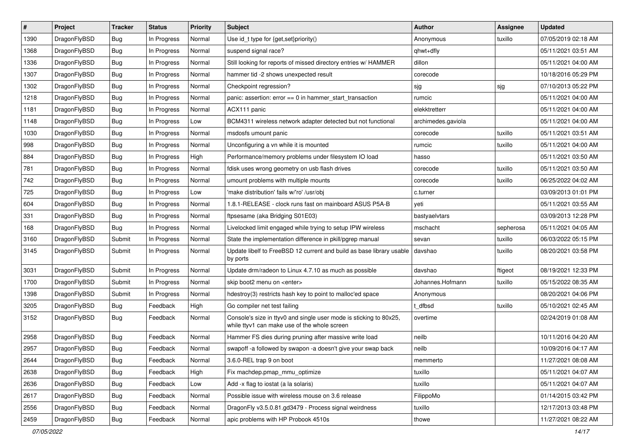| $\#$ | Project      | <b>Tracker</b> | <b>Status</b> | <b>Priority</b> | <b>Subject</b>                                                                                                     | <b>Author</b>      | <b>Assignee</b> | <b>Updated</b>      |
|------|--------------|----------------|---------------|-----------------|--------------------------------------------------------------------------------------------------------------------|--------------------|-----------------|---------------------|
| 1390 | DragonFlyBSD | Bug            | In Progress   | Normal          | Use id_t type for {get,set}priority()                                                                              | Anonymous          | tuxillo         | 07/05/2019 02:18 AM |
| 1368 | DragonFlyBSD | Bug            | In Progress   | Normal          | suspend signal race?                                                                                               | qhwt+dfly          |                 | 05/11/2021 03:51 AM |
| 1336 | DragonFlyBSD | <b>Bug</b>     | In Progress   | Normal          | Still looking for reports of missed directory entries w/ HAMMER                                                    | dillon             |                 | 05/11/2021 04:00 AM |
| 1307 | DragonFlyBSD | <b>Bug</b>     | In Progress   | Normal          | hammer tid -2 shows unexpected result                                                                              | corecode           |                 | 10/18/2016 05:29 PM |
| 1302 | DragonFlyBSD | Bug            | In Progress   | Normal          | Checkpoint regression?                                                                                             | sjg                | sjg             | 07/10/2013 05:22 PM |
| 1218 | DragonFlyBSD | <b>Bug</b>     | In Progress   | Normal          | panic: assertion: $error == 0$ in hammer start transaction                                                         | rumcic             |                 | 05/11/2021 04:00 AM |
| 1181 | DragonFlyBSD | <b>Bug</b>     | In Progress   | Normal          | ACX111 panic                                                                                                       | elekktretterr      |                 | 05/11/2021 04:00 AM |
| 1148 | DragonFlyBSD | <b>Bug</b>     | In Progress   | Low             | BCM4311 wireless network adapter detected but not functional                                                       | archimedes.gaviola |                 | 05/11/2021 04:00 AM |
| 1030 | DragonFlyBSD | <b>Bug</b>     | In Progress   | Normal          | msdosfs umount panic                                                                                               | corecode           | tuxillo         | 05/11/2021 03:51 AM |
| 998  | DragonFlyBSD | Bug            | In Progress   | Normal          | Unconfiguring a vn while it is mounted                                                                             | rumcic             | tuxillo         | 05/11/2021 04:00 AM |
| 884  | DragonFlyBSD | Bug            | In Progress   | High            | Performance/memory problems under filesystem IO load                                                               | hasso              |                 | 05/11/2021 03:50 AM |
| 781  | DragonFlyBSD | Bug            | In Progress   | Normal          | fdisk uses wrong geometry on usb flash drives                                                                      | corecode           | tuxillo         | 05/11/2021 03:50 AM |
| 742  | DragonFlyBSD | Bug            | In Progress   | Normal          | umount problems with multiple mounts                                                                               | corecode           | tuxillo         | 06/25/2022 04:02 AM |
| 725  | DragonFlyBSD | Bug            | In Progress   | Low             | 'make distribution' fails w/'ro' /usr/obj                                                                          | c.turner           |                 | 03/09/2013 01:01 PM |
| 604  | DragonFlyBSD | Bug            | In Progress   | Normal          | 1.8.1-RELEASE - clock runs fast on mainboard ASUS P5A-B                                                            | yeti               |                 | 05/11/2021 03:55 AM |
| 331  | DragonFlyBSD | Bug            | In Progress   | Normal          | ftpsesame (aka Bridging S01E03)                                                                                    | bastyaelvtars      |                 | 03/09/2013 12:28 PM |
| 168  | DragonFlyBSD | Bug            | In Progress   | Normal          | Livelocked limit engaged while trying to setup IPW wireless                                                        | mschacht           | sepherosa       | 05/11/2021 04:05 AM |
| 3160 | DragonFlyBSD | Submit         | In Progress   | Normal          | State the implementation difference in pkill/pgrep manual                                                          | sevan              | tuxillo         | 06/03/2022 05:15 PM |
| 3145 | DragonFlyBSD | Submit         | In Progress   | Normal          | Update libelf to FreeBSD 12 current and build as base library usable<br>by ports                                   | davshao            | tuxillo         | 08/20/2021 03:58 PM |
| 3031 | DragonFlyBSD | Submit         | In Progress   | Normal          | Update drm/radeon to Linux 4.7.10 as much as possible                                                              | davshao            | ftigeot         | 08/19/2021 12:33 PM |
| 1700 | DragonFlyBSD | Submit         | In Progress   | Normal          | skip boot2 menu on <enter></enter>                                                                                 | Johannes.Hofmann   | tuxillo         | 05/15/2022 08:35 AM |
| 1398 | DragonFlyBSD | Submit         | In Progress   | Normal          | hdestroy(3) restricts hash key to point to malloc'ed space                                                         | Anonymous          |                 | 08/20/2021 04:06 PM |
| 3205 | DragonFlyBSD | Bug            | Feedback      | High            | Go compiler net test failing                                                                                       | t dfbsd            | tuxillo         | 05/10/2021 02:45 AM |
| 3152 | DragonFlyBSD | Bug            | Feedback      | Normal          | Console's size in ttyv0 and single user mode is sticking to 80x25,<br>while ttyv1 can make use of the whole screen | overtime           |                 | 02/24/2019 01:08 AM |
| 2958 | DragonFlyBSD | Bug            | Feedback      | Normal          | Hammer FS dies during pruning after massive write load                                                             | neilb              |                 | 10/11/2016 04:20 AM |
| 2957 | DragonFlyBSD | Bug            | Feedback      | Normal          | swapoff -a followed by swapon -a doesn't give your swap back                                                       | neilb              |                 | 10/09/2016 04:17 AM |
| 2644 | DragonFlyBSD | <b>Bug</b>     | Feedback      | Normal          | 3.6.0-REL trap 9 on boot                                                                                           | memmerto           |                 | 11/27/2021 08:08 AM |
| 2638 | DragonFlyBSD | <b>Bug</b>     | Feedback      | High            | Fix machdep.pmap_mmu_optimize                                                                                      | tuxillo            |                 | 05/11/2021 04:07 AM |
| 2636 | DragonFlyBSD | Bug            | Feedback      | Low             | Add -x flag to iostat (a la solaris)                                                                               | tuxillo            |                 | 05/11/2021 04:07 AM |
| 2617 | DragonFlyBSD | <b>Bug</b>     | Feedback      | Normal          | Possible issue with wireless mouse on 3.6 release                                                                  | FilippoMo          |                 | 01/14/2015 03:42 PM |
| 2556 | DragonFlyBSD | <b>Bug</b>     | Feedback      | Normal          | DragonFly v3.5.0.81.gd3479 - Process signal weirdness                                                              | tuxillo            |                 | 12/17/2013 03:48 PM |
| 2459 | DragonFlyBSD | <b>Bug</b>     | Feedback      | Normal          | apic problems with HP Probook 4510s                                                                                | thowe              |                 | 11/27/2021 08:22 AM |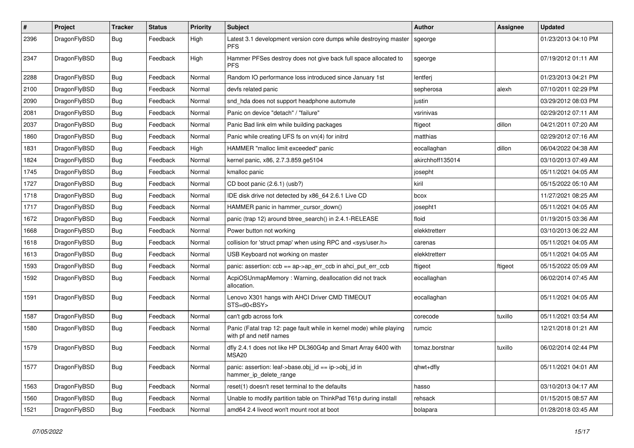| #    | Project      | <b>Tracker</b> | <b>Status</b> | <b>Priority</b> | Subject                                                                                         | <b>Author</b>    | Assignee | <b>Updated</b>      |
|------|--------------|----------------|---------------|-----------------|-------------------------------------------------------------------------------------------------|------------------|----------|---------------------|
| 2396 | DragonFlyBSD | Bug            | Feedback      | High            | Latest 3.1 development version core dumps while destroying master<br><b>PFS</b>                 | sgeorge          |          | 01/23/2013 04:10 PM |
| 2347 | DragonFlyBSD | <b>Bug</b>     | Feedback      | High            | Hammer PFSes destroy does not give back full space allocated to<br><b>PFS</b>                   | sgeorge          |          | 07/19/2012 01:11 AM |
| 2288 | DragonFlyBSD | <b>Bug</b>     | Feedback      | Normal          | Random IO performance loss introduced since January 1st                                         | lentferj         |          | 01/23/2013 04:21 PM |
| 2100 | DragonFlyBSD | <b>Bug</b>     | Feedback      | Normal          | devfs related panic                                                                             | sepherosa        | alexh    | 07/10/2011 02:29 PM |
| 2090 | DragonFlyBSD | <b>Bug</b>     | Feedback      | Normal          | snd_hda does not support headphone automute                                                     | justin           |          | 03/29/2012 08:03 PM |
| 2081 | DragonFlyBSD | <b>Bug</b>     | Feedback      | Normal          | Panic on device "detach" / "failure"                                                            | vsrinivas        |          | 02/29/2012 07:11 AM |
| 2037 | DragonFlyBSD | <b>Bug</b>     | Feedback      | Normal          | Panic Bad link elm while building packages                                                      | ftigeot          | dillon   | 04/21/2011 07:20 AM |
| 1860 | DragonFlyBSD | <b>Bug</b>     | Feedback      | Normal          | Panic while creating UFS fs on vn(4) for initrd                                                 | matthias         |          | 02/29/2012 07:16 AM |
| 1831 | DragonFlyBSD | <b>Bug</b>     | Feedback      | High            | HAMMER "malloc limit exceeded" panic                                                            | eocallaghan      | dillon   | 06/04/2022 04:38 AM |
| 1824 | DragonFlyBSD | <b>Bug</b>     | Feedback      | Normal          | kernel panic, x86, 2.7.3.859.ge5104                                                             | akirchhoff135014 |          | 03/10/2013 07:49 AM |
| 1745 | DragonFlyBSD | <b>Bug</b>     | Feedback      | Normal          | kmalloc panic                                                                                   | josepht          |          | 05/11/2021 04:05 AM |
| 1727 | DragonFlyBSD | <b>Bug</b>     | Feedback      | Normal          | CD boot panic (2.6.1) (usb?)                                                                    | kiril            |          | 05/15/2022 05:10 AM |
| 1718 | DragonFlyBSD | <b>Bug</b>     | Feedback      | Normal          | IDE disk drive not detected by x86_64 2.6.1 Live CD                                             | bcox             |          | 11/27/2021 08:25 AM |
| 1717 | DragonFlyBSD | <b>Bug</b>     | Feedback      | Normal          | HAMMER panic in hammer_cursor_down()                                                            | josepht1         |          | 05/11/2021 04:05 AM |
| 1672 | DragonFlyBSD | <b>Bug</b>     | Feedback      | Normal          | panic (trap 12) around btree_search() in 2.4.1-RELEASE                                          | floid            |          | 01/19/2015 03:36 AM |
| 1668 | DragonFlyBSD | <b>Bug</b>     | Feedback      | Normal          | Power button not working                                                                        | elekktretterr    |          | 03/10/2013 06:22 AM |
| 1618 | DragonFlyBSD | <b>Bug</b>     | Feedback      | Normal          | collision for 'struct pmap' when using RPC and <sys user.h=""></sys>                            | carenas          |          | 05/11/2021 04:05 AM |
| 1613 | DragonFlyBSD | <b>Bug</b>     | Feedback      | Normal          | USB Keyboard not working on master                                                              | elekktretterr    |          | 05/11/2021 04:05 AM |
| 1593 | DragonFlyBSD | <b>Bug</b>     | Feedback      | Normal          | panic: assertion: ccb == ap->ap_err_ccb in ahci_put_err_ccb                                     | ftigeot          | ftigeot  | 05/15/2022 05:09 AM |
| 1592 | DragonFlyBSD | <b>Bug</b>     | Feedback      | Normal          | AcpiOSUnmapMemory: Warning, deallocation did not track<br>allocation.                           | eocallaghan      |          | 06/02/2014 07:45 AM |
| 1591 | DragonFlyBSD | <b>Bug</b>     | Feedback      | Normal          | Lenovo X301 hangs with AHCI Driver CMD TIMEOUT<br>STS=d0 <bsy></bsy>                            | eocallaghan      |          | 05/11/2021 04:05 AM |
| 1587 | DragonFlyBSD | <b>Bug</b>     | Feedback      | Normal          | can't gdb across fork                                                                           | corecode         | tuxillo  | 05/11/2021 03:54 AM |
| 1580 | DragonFlyBSD | <b>Bug</b>     | Feedback      | Normal          | Panic (Fatal trap 12: page fault while in kernel mode) while playing<br>with pf and netif names | rumcic           |          | 12/21/2018 01:21 AM |
| 1579 | DragonFlyBSD | <b>Bug</b>     | Feedback      | Normal          | dfly 2.4.1 does not like HP DL360G4p and Smart Array 6400 with<br>MSA20                         | tomaz.borstnar   | tuxillo  | 06/02/2014 02:44 PM |
| 1577 | DragonFlyBSD | Bug            | Feedback      | Normal          | panic: assertion: leaf->base.obj_id == ip->obj_id in<br>hammer_ip_delete_range                  | qhwt+dfly        |          | 05/11/2021 04:01 AM |
| 1563 | DragonFlyBSD | <b>Bug</b>     | Feedback      | Normal          | reset(1) doesn't reset terminal to the defaults                                                 | hasso            |          | 03/10/2013 04:17 AM |
| 1560 | DragonFlyBSD | <b>Bug</b>     | Feedback      | Normal          | Unable to modify partition table on ThinkPad T61p during install                                | rehsack          |          | 01/15/2015 08:57 AM |
| 1521 | DragonFlyBSD | Bug            | Feedback      | Normal          | amd64 2.4 livecd won't mount root at boot                                                       | bolapara         |          | 01/28/2018 03:45 AM |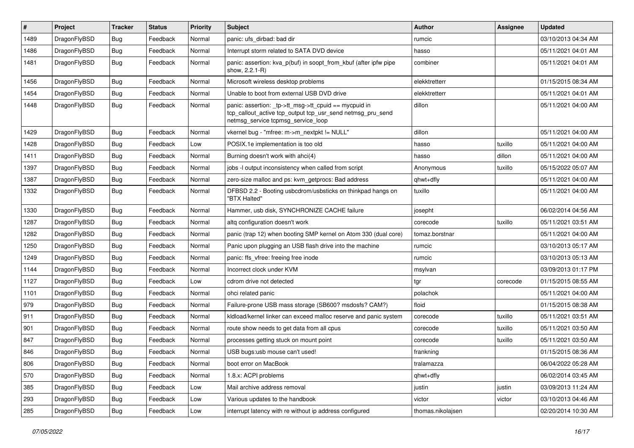| #    | Project      | <b>Tracker</b> | <b>Status</b> | <b>Priority</b> | Subject                                                                                                                                                   | <b>Author</b>     | <b>Assignee</b> | <b>Updated</b>      |
|------|--------------|----------------|---------------|-----------------|-----------------------------------------------------------------------------------------------------------------------------------------------------------|-------------------|-----------------|---------------------|
| 1489 | DragonFlyBSD | <b>Bug</b>     | Feedback      | Normal          | panic: ufs_dirbad: bad dir                                                                                                                                | rumcic            |                 | 03/10/2013 04:34 AM |
| 1486 | DragonFlyBSD | <b>Bug</b>     | Feedback      | Normal          | Interrupt storm related to SATA DVD device                                                                                                                | hasso             |                 | 05/11/2021 04:01 AM |
| 1481 | DragonFlyBSD | <b>Bug</b>     | Feedback      | Normal          | panic: assertion: kva p(buf) in soopt from kbuf (after ipfw pipe<br>show, 2.2.1-R)                                                                        | combiner          |                 | 05/11/2021 04:01 AM |
| 1456 | DragonFlyBSD | <b>Bug</b>     | Feedback      | Normal          | Microsoft wireless desktop problems                                                                                                                       | elekktretterr     |                 | 01/15/2015 08:34 AM |
| 1454 | DragonFlyBSD | Bug            | Feedback      | Normal          | Unable to boot from external USB DVD drive                                                                                                                | elekktretterr     |                 | 05/11/2021 04:01 AM |
| 1448 | DragonFlyBSD | <b>Bug</b>     | Feedback      | Normal          | panic: assertion: _tp->tt_msg->tt_cpuid == mycpuid in<br>tcp_callout_active tcp_output tcp_usr_send netmsg_pru_send<br>netmsg_service tcpmsg_service_loop | dillon            |                 | 05/11/2021 04:00 AM |
| 1429 | DragonFlyBSD | <b>Bug</b>     | Feedback      | Normal          | vkernel bug - "mfree: m->m_nextpkt != NULL"                                                                                                               | dillon            |                 | 05/11/2021 04:00 AM |
| 1428 | DragonFlyBSD | <b>Bug</b>     | Feedback      | Low             | POSIX.1e implementation is too old                                                                                                                        | hasso             | tuxillo         | 05/11/2021 04:00 AM |
| 1411 | DragonFlyBSD | Bug            | Feedback      | Normal          | Burning doesn't work with ahci(4)                                                                                                                         | hasso             | dillon          | 05/11/2021 04:00 AM |
| 1397 | DragonFlyBSD | <b>Bug</b>     | Feedback      | Normal          | jobs -I output inconsistency when called from script                                                                                                      | Anonymous         | tuxillo         | 05/15/2022 05:07 AM |
| 1387 | DragonFlyBSD | <b>Bug</b>     | Feedback      | Normal          | zero-size malloc and ps: kvm_getprocs: Bad address                                                                                                        | qhwt+dfly         |                 | 05/11/2021 04:00 AM |
| 1332 | DragonFlyBSD | <b>Bug</b>     | Feedback      | Normal          | DFBSD 2.2 - Booting usbcdrom/usbsticks on thinkpad hangs on<br>"BTX Halted"                                                                               | tuxillo           |                 | 05/11/2021 04:00 AM |
| 1330 | DragonFlyBSD | <b>Bug</b>     | Feedback      | Normal          | Hammer, usb disk, SYNCHRONIZE CACHE failure                                                                                                               | josepht           |                 | 06/02/2014 04:56 AM |
| 1287 | DragonFlyBSD | <b>Bug</b>     | Feedback      | Normal          | altg configuration doesn't work                                                                                                                           | corecode          | tuxillo         | 05/11/2021 03:51 AM |
| 1282 | DragonFlyBSD | <b>Bug</b>     | Feedback      | Normal          | panic (trap 12) when booting SMP kernel on Atom 330 (dual core)                                                                                           | tomaz.borstnar    |                 | 05/11/2021 04:00 AM |
| 1250 | DragonFlyBSD | Bug            | Feedback      | Normal          | Panic upon plugging an USB flash drive into the machine                                                                                                   | rumcic            |                 | 03/10/2013 05:17 AM |
| 1249 | DragonFlyBSD | <b>Bug</b>     | Feedback      | Normal          | panic: ffs vfree: freeing free inode                                                                                                                      | rumcic            |                 | 03/10/2013 05:13 AM |
| 1144 | DragonFlyBSD | <b>Bug</b>     | Feedback      | Normal          | Incorrect clock under KVM                                                                                                                                 | msylvan           |                 | 03/09/2013 01:17 PM |
| 1127 | DragonFlyBSD | <b>Bug</b>     | Feedback      | Low             | cdrom drive not detected                                                                                                                                  | tgr               | corecode        | 01/15/2015 08:55 AM |
| 1101 | DragonFlyBSD | <b>Bug</b>     | Feedback      | Normal          | ohci related panic                                                                                                                                        | polachok          |                 | 05/11/2021 04:00 AM |
| 979  | DragonFlyBSD | <b>Bug</b>     | Feedback      | Normal          | Failure-prone USB mass storage (SB600? msdosfs? CAM?)                                                                                                     | floid             |                 | 01/15/2015 08:38 AM |
| 911  | DragonFlyBSD | <b>Bug</b>     | Feedback      | Normal          | kldload/kernel linker can exceed malloc reserve and panic system                                                                                          | corecode          | tuxillo         | 05/11/2021 03:51 AM |
| 901  | DragonFlyBSD | <b>Bug</b>     | Feedback      | Normal          | route show needs to get data from all cpus                                                                                                                | corecode          | tuxillo         | 05/11/2021 03:50 AM |
| 847  | DragonFlyBSD | <b>Bug</b>     | Feedback      | Normal          | processes getting stuck on mount point                                                                                                                    | corecode          | tuxillo         | 05/11/2021 03:50 AM |
| 846  | DragonFlyBSD | <b>Bug</b>     | Feedback      | Normal          | USB bugs:usb mouse can't used!                                                                                                                            | frankning         |                 | 01/15/2015 08:36 AM |
| 806  | DragonFlyBSD | <b>Bug</b>     | Feedback      | Normal          | boot error on MacBook                                                                                                                                     | tralamazza        |                 | 06/04/2022 05:28 AM |
| 570  | DragonFlyBSD | <b>Bug</b>     | Feedback      | Normal          | 1.8.x: ACPI problems                                                                                                                                      | qhwt+dfly         |                 | 06/02/2014 03:45 AM |
| 385  | DragonFlyBSD | <b>Bug</b>     | Feedback      | Low             | Mail archive address removal                                                                                                                              | justin            | justin          | 03/09/2013 11:24 AM |
| 293  | DragonFlyBSD | <b>Bug</b>     | Feedback      | Low             | Various updates to the handbook                                                                                                                           | victor            | victor          | 03/10/2013 04:46 AM |
| 285  | DragonFlyBSD | Bug            | Feedback      | Low             | interrupt latency with re without ip address configured                                                                                                   | thomas.nikolajsen |                 | 02/20/2014 10:30 AM |